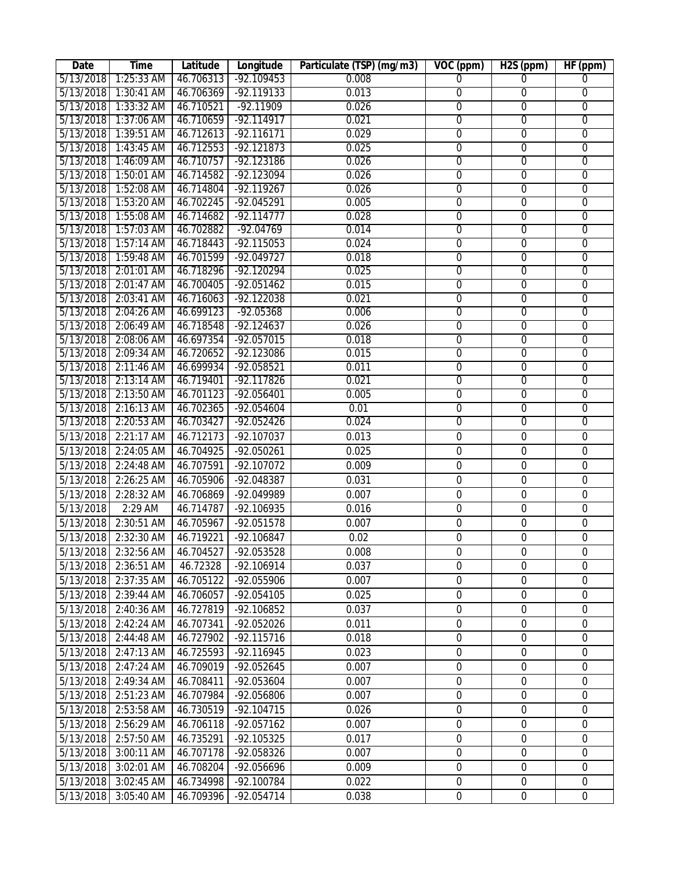| Date      | <b>Time</b>                               | Latitude  | Longitude    | Particulate (TSP) (mg/m3) | $VOC$ (ppm)      | H <sub>2</sub> S (ppm) | HF(ppm)          |
|-----------|-------------------------------------------|-----------|--------------|---------------------------|------------------|------------------------|------------------|
| 5/13/2018 | $1:25:33$ AM                              | 46.706313 | $-92.109453$ | 0.008                     | $\Omega$         | $\overline{0}$         | $\overline{0}$   |
| 5/13/2018 | 1:30:41 AM                                | 46.706369 | $-92.119133$ | 0.013                     | $\overline{0}$   | $\overline{0}$         | $\overline{0}$   |
| 5/13/2018 | $1:33:32$ AM                              | 46.710521 | $-92.11909$  | 0.026                     | $\overline{0}$   | $\overline{0}$         | $\overline{0}$   |
| 5/13/2018 | 1:37:06 AM                                | 46.710659 | $-92.114917$ | 0.021                     | $\overline{0}$   | $\overline{0}$         | $\overline{0}$   |
| 5/13/2018 | 1:39:51 AM                                | 46.712613 | $-92.116171$ | 0.029                     | $\overline{0}$   | $\overline{0}$         | $\overline{0}$   |
| 5/13/2018 | $1:43:45$ AM                              | 46.712553 | $-92.121873$ | 0.025                     | $\overline{0}$   | $\overline{0}$         | $\overline{0}$   |
|           | 5/13/2018 1:46:09 AM                      | 46.710757 | $-92.123186$ | 0.026                     | $\overline{0}$   | $\overline{0}$         | $\overline{0}$   |
|           | 5/13/2018 1:50:01 AM                      | 46.714582 | -92.123094   | 0.026                     | $\overline{0}$   | $\overline{0}$         | $\overline{0}$   |
| 5/13/2018 | 1:52:08 AM                                | 46.714804 | $-92.119267$ | 0.026                     | $\overline{0}$   | $\overline{0}$         | $\overline{0}$   |
| 5/13/2018 | 1:53:20 AM                                | 46.702245 | $-92.045291$ | 0.005                     | $\overline{0}$   | $\overline{0}$         | $\overline{0}$   |
| 5/13/2018 | 1:55:08 AM                                | 46.714682 | $-92.114777$ | 0.028                     | $\overline{0}$   | $\overline{0}$         | $\overline{0}$   |
| 5/13/2018 | 1:57:03 AM                                | 46.702882 | $-92.04769$  | 0.014                     | $\overline{0}$   | $\overline{0}$         | $\overline{0}$   |
| 5/13/2018 | $1:57:14$ AM                              | 46.718443 | $-92.115053$ | 0.024                     | $\overline{0}$   | $\overline{0}$         | $\overline{0}$   |
| 5/13/2018 | 1:59:48 AM                                | 46.701599 | $-92.049727$ | 0.018                     | $\overline{0}$   | $\overline{0}$         | $\overline{0}$   |
| 5/13/2018 | 2:01:01 AM                                | 46.718296 | $-92.120294$ | 0.025                     | $\overline{0}$   | $\overline{0}$         | $\overline{0}$   |
| 5/13/2018 | 2:01:47 AM                                | 46.700405 | $-92.051462$ | 0.015                     | $\overline{0}$   | $\overline{0}$         | $\overline{0}$   |
| 5/13/2018 | 2:03:41 AM                                | 46.716063 | $-92.122038$ | 0.021                     | $\overline{0}$   | $\overline{0}$         | $\overline{0}$   |
| 5/13/2018 | 2:04:26 AM                                | 46.699123 | $-92.05368$  | 0.006                     | $\overline{0}$   | $\overline{0}$         | $\overline{0}$   |
| 5/13/2018 | 2:06:49 AM                                | 46.718548 | $-92.124637$ | 0.026                     | $\overline{0}$   | $\overline{0}$         | $\overline{0}$   |
| 5/13/2018 | 2:08:06 AM                                | 46.697354 | $-92.057015$ | 0.018                     | $\overline{0}$   | $\overline{0}$         | $\overline{0}$   |
| 5/13/2018 | 2:09:34 AM                                | 46.720652 | $-92.123086$ | 0.015                     | $\overline{0}$   | $\overline{0}$         | $\overline{0}$   |
| 5/13/2018 | 2:11:46 AM                                | 46.699934 | $-92.058521$ | 0.011                     | $\overline{0}$   | $\overline{0}$         | $\overline{0}$   |
| 5/13/2018 | 2:13:14 AM                                | 46.719401 | $-92.117826$ | 0.021                     | $\overline{0}$   | $\overline{0}$         | $\overline{0}$   |
| 5/13/2018 | 2:13:50 AM                                | 46.701123 | $-92.056401$ | 0.005                     | $\overline{0}$   | $\overline{0}$         | $\overline{0}$   |
| 5/13/2018 | 2:16:13 AM                                | 46.702365 | $-92.054604$ | 0.01                      | $\overline{0}$   | $\overline{0}$         | $\overline{0}$   |
| 5/13/2018 | 2:20:53 AM                                | 46.703427 | $-92.052426$ | 0.024                     | $\overline{0}$   | $\overline{0}$         | $\overline{0}$   |
| 5/13/2018 | 2:21:17 AM                                | 46.712173 | -92.107037   | 0.013                     | 0                | $\boldsymbol{0}$       | 0                |
| 5/13/2018 | 2:24:05 AM                                | 46.704925 | -92.050261   | 0.025                     | $\mathbf 0$      | $\mathbf 0$            | $\mathbf 0$      |
| 5/13/2018 | 2:24:48 AM                                | 46.707591 | -92.107072   | 0.009                     | $\mathbf 0$      | $\mathbf 0$            | $\mathbf 0$      |
| 5/13/2018 | 2:26:25 AM                                | 46.705906 | -92.048387   | 0.031                     | $\boldsymbol{0}$ | $\mathbf 0$            | $\mathbf 0$      |
| 5/13/2018 | 2:28:32 AM                                | 46.706869 | -92.049989   | 0.007                     | $\boldsymbol{0}$ | $\boldsymbol{0}$       | $\mathbf 0$      |
| 5/13/2018 | 2:29 AM                                   | 46.714787 | -92.106935   | 0.016                     | $\boldsymbol{0}$ | $\boldsymbol{0}$       | $\boldsymbol{0}$ |
| 5/13/2018 | 2:30:51 AM                                | 46.705967 | -92.051578   | 0.007                     | 0                | $\boldsymbol{0}$       | $\mathbf 0$      |
|           | 5/13/2018 2:32:30 AM                      | 46.719221 | -92.106847   | 0.02                      | $\boldsymbol{0}$ | $\boldsymbol{0}$       | $\mathbf 0$      |
|           | 5/13/2018 2:32:56 AM 46.704527 -92.053528 |           |              | 0.008                     | $\boldsymbol{0}$ | $\boldsymbol{0}$       | $\mathbf 0$      |
|           | 5/13/2018 2:36:51 AM                      | 46.72328  | -92.106914   | 0.037                     | 0                | $\mathbf 0$            | 0                |
| 5/13/2018 | 2:37:35 AM                                | 46.705122 | -92.055906   | 0.007                     | $\boldsymbol{0}$ | $\boldsymbol{0}$       | 0                |
| 5/13/2018 | 2:39:44 AM                                | 46.706057 | -92.054105   | 0.025                     | 0                | $\boldsymbol{0}$       | 0                |
| 5/13/2018 | 2:40:36 AM                                | 46.727819 | -92.106852   | 0.037                     | $\boldsymbol{0}$ | $\boldsymbol{0}$       | $\mathbf 0$      |
| 5/13/2018 | 2:42:24 AM                                | 46.707341 | -92.052026   | 0.011                     | $\mathbf 0$      | $\mathbf 0$            | 0                |
| 5/13/2018 | 2:44:48 AM                                | 46.727902 | $-92.115716$ | 0.018                     | 0                | $\boldsymbol{0}$       | $\mathbf 0$      |
| 5/13/2018 | 2:47:13 AM                                | 46.725593 | -92.116945   | 0.023                     | $\boldsymbol{0}$ | $\mathbf 0$            | $\mathbf 0$      |
| 5/13/2018 | 2:47:24 AM                                | 46.709019 | -92.052645   | 0.007                     | 0                | $\boldsymbol{0}$       | $\boldsymbol{0}$ |
| 5/13/2018 | 2:49:34 AM                                | 46.708411 | -92.053604   | 0.007                     | 0                | $\boldsymbol{0}$       | 0                |
| 5/13/2018 | 2:51:23 AM                                | 46.707984 | -92.056806   | 0.007                     | $\boldsymbol{0}$ | $\boldsymbol{0}$       | $\mathbf 0$      |
| 5/13/2018 | 2:53:58 AM                                | 46.730519 | -92.104715   | 0.026                     | 0                | $\mathbf 0$            | 0                |
| 5/13/2018 | 2:56:29 AM                                | 46.706118 | -92.057162   | 0.007                     | $\boldsymbol{0}$ | $\boldsymbol{0}$       | $\mathbf 0$      |
| 5/13/2018 | 2:57:50 AM                                | 46.735291 | -92.105325   | 0.017                     | $\boldsymbol{0}$ | $\boldsymbol{0}$       | 0                |
| 5/13/2018 | 3:00:11 AM                                | 46.707178 | -92.058326   | 0.007                     | $\mathbf 0$      | $\boldsymbol{0}$       | 0                |
| 5/13/2018 | 3:02:01 AM                                | 46.708204 | -92.056696   | 0.009                     | $\boldsymbol{0}$ | $\boldsymbol{0}$       | $\boldsymbol{0}$ |
| 5/13/2018 | 3:02:45 AM                                | 46.734998 | -92.100784   | 0.022                     | $\mathbf 0$      | $\mathbf 0$            | 0                |
| 5/13/2018 | 3:05:40 AM                                | 46.709396 | -92.054714   | 0.038                     | 0                | $\boldsymbol{0}$       | $\mathbf 0$      |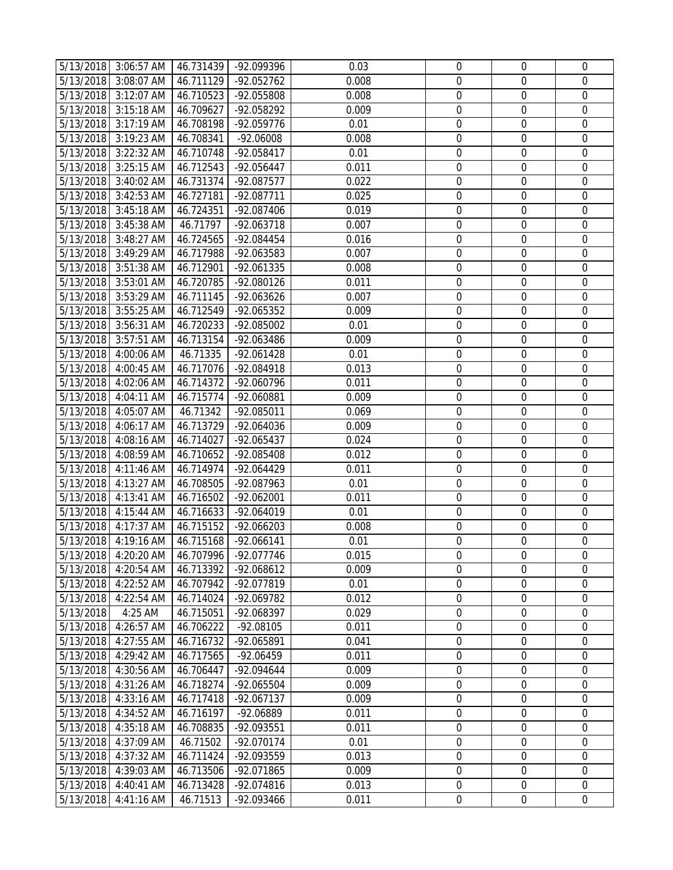|                        | 5/13/2018 3:06:57 AM     | 46.731439              | -92.099396               | 0.03           | $\boldsymbol{0}$                     | 0                          | 0                          |
|------------------------|--------------------------|------------------------|--------------------------|----------------|--------------------------------------|----------------------------|----------------------------|
| 5/13/2018              | 3:08:07 AM               | 46.711129              | -92.052762               | 0.008          | $\boldsymbol{0}$                     | 0                          | $\mathbf 0$                |
| 5/13/2018              | 3:12:07 AM               | 46.710523              | -92.055808               | 0.008          | $\mathbf 0$                          | $\mathbf 0$                | $\mathbf 0$                |
| 5/13/2018              | 3:15:18 AM               | 46.709627              | -92.058292               | 0.009          | $\boldsymbol{0}$                     | $\mathbf 0$                | $\mathbf 0$                |
| 5/13/2018              | 3:17:19 AM               | 46.708198              | -92.059776               | 0.01           | $\boldsymbol{0}$                     | $\mathbf 0$                | $\mathbf 0$                |
| 5/13/2018              | 3:19:23 AM               | 46.708341              | -92.06008                | 0.008          | $\boldsymbol{0}$                     | $\mathbf 0$                | $\boldsymbol{0}$           |
| 5/13/2018              | 3:22:32 AM               | 46.710748              | -92.058417               | 0.01           | $\boldsymbol{0}$                     | $\boldsymbol{0}$           | $\mathbf 0$                |
| 5/13/2018              | $3:25:15$ AM             | 46.712543              | -92.056447               | 0.011          | $\boldsymbol{0}$                     | $\mathbf 0$                | $\mathbf 0$                |
| 5/13/2018              | 3:40:02 AM               | 46.731374              | -92.087577               | 0.022          | $\boldsymbol{0}$                     | $\mathbf 0$                | $\mathbf 0$                |
| 5/13/2018              | 3:42:53 AM               | 46.727181              | -92.087711               | 0.025          | $\boldsymbol{0}$                     | $\mathbf 0$                | $\mathbf 0$                |
| 5/13/2018              | 3:45:18 AM               | 46.724351              | -92.087406               | 0.019          | $\boldsymbol{0}$                     | $\boldsymbol{0}$           | $\boldsymbol{0}$           |
| 5/13/2018              | 3:45:38 AM               | 46.71797               | -92.063718               | 0.007          | $\boldsymbol{0}$                     | 0                          | $\mathbf 0$                |
| 5/13/2018              | 3:48:27 AM               | 46.724565              | $-92.084454$             | 0.016          | $\boldsymbol{0}$                     | $\boldsymbol{0}$           | $\mathbf 0$                |
| 5/13/2018              | 3:49:29 AM               | 46.717988              | -92.063583               | 0.007          | $\boldsymbol{0}$                     | $\mathbf 0$                | $\mathbf 0$                |
| 5/13/2018              | 3:51:38 AM               | 46.712901              | -92.061335               | 0.008          | $\boldsymbol{0}$                     | $\mathbf 0$                | $\overline{0}$             |
| 5/13/2018              | 3:53:01 AM               | 46.720785              | -92.080126               | 0.011          | $\boldsymbol{0}$                     | $\mathbf 0$                | $\mathbf 0$                |
| 5/13/2018              | 3:53:29 AM               | 46.711145              | -92.063626               | 0.007          | $\boldsymbol{0}$                     | $\mathbf 0$                | $\mathbf 0$                |
| 5/13/2018              | 3:55:25 AM               | 46.712549              | -92.065352               | 0.009          | $\boldsymbol{0}$                     | $\boldsymbol{0}$           | $\mathbf 0$                |
| 5/13/2018              | 3:56:31 AM               | 46.720233              | -92.085002               | 0.01           | $\boldsymbol{0}$                     | $\mathbf 0$                | $\mathbf 0$                |
| 5/13/2018              | 3:57:51 AM               | 46.713154              | -92.063486               | 0.009          | $\boldsymbol{0}$                     | $\mathbf 0$                | $\mathbf 0$                |
|                        | 5/13/2018 4:00:06 AM     | 46.71335               | -92.061428               | 0.01           | $\boldsymbol{0}$                     | $\mathbf 0$                | $\mathbf 0$                |
|                        | 5/13/2018 4:00:45 AM     | 46.717076              | -92.084918               | 0.013          | $\boldsymbol{0}$                     | $\mathbf 0$                | $\mathbf 0$                |
| 5/13/2018              | 4:02:06 AM               | 46.714372              | -92.060796               | 0.011          | $\boldsymbol{0}$                     | $\mathbf 0$                | $\mathbf 0$                |
| 5/13/2018              | 4:04:11 AM               | 46.715774              | -92.060881               | 0.009          | $\boldsymbol{0}$                     | 0                          | $\mathbf 0$                |
|                        | 5/13/2018 4:05:07 AM     | 46.71342               | -92.085011               | 0.069          | $\boldsymbol{0}$                     | $\mathbf 0$                | $\mathbf 0$                |
| 5/13/2018              | 4:06:17 AM               | 46.713729              | -92.064036               | 0.009          | $\boldsymbol{0}$                     | $\mathbf 0$                | $\mathbf 0$                |
|                        |                          |                        |                          | 0.024          | $\boldsymbol{0}$                     | $\mathbf 0$                | $\boldsymbol{0}$           |
| 5/13/2018              | 4:08:16 AM               | 46.714027              | -92.065437               |                |                                      | $\mathbf 0$                | $\mathbf 0$                |
| 5/13/2018              | 4:08:59 AM               | 46.710652              | -92.085408               | 0.012          | $\boldsymbol{0}$                     |                            |                            |
| 5/13/2018              | 4:11:46 AM               | 46.714974              | -92.064429               | 0.011          | $\boldsymbol{0}$                     | $\boldsymbol{0}$           | $\mathbf 0$                |
| 5/13/2018              | 4:13:27 AM               | 46.708505              | -92.087963               | 0.01           | $\boldsymbol{0}$                     | $\mathbf 0$<br>$\mathbf 0$ | $\mathbf 0$<br>0           |
| 5/13/2018              | 4:13:41 AM               | 46.716502              | -92.062001               | 0.011          | $\boldsymbol{0}$                     |                            |                            |
| 5/13/2018              | 4:15:44 AM               | 46.716633              | -92.064019               | 0.01           | $\boldsymbol{0}$                     | $\mathbf 0$<br>$\mathbf 0$ | $\mathbf 0$                |
| 5/13/2018<br>5/13/2018 | 4:17:37 AM<br>4:19:16 AM | 46.715152<br>46.715168 | $-92.066203$             | 0.008          | $\boldsymbol{0}$<br>$\boldsymbol{0}$ | $\mathbf 0$                | $\mathbf 0$<br>$\mathbf 0$ |
|                        |                          |                        | $-92.066141$             | 0.01           |                                      |                            |                            |
|                        | 5/13/2018 4:20:20 AM     | 46.707996              | -92.077746               | 0.015          | 0                                    | 0<br>$\Omega$              | 0<br>0                     |
| 5/13/2018              | 4:20:54 AM               | 46.713392              | -92.068612<br>-92.077819 | 0.009<br>0.01  | 0<br>$\mathbf 0$                     | $\mathbf 0$                | 0                          |
| 5/13/2018              | 4:22:52 AM               | 46.707942              |                          |                |                                      |                            |                            |
| 5/13/2018<br>5/13/2018 | 4:22:54 AM<br>4:25 AM    | 46.714024<br>46.715051 | -92.069782<br>-92.068397 | 0.012<br>0.029 | $\boldsymbol{0}$<br>$\boldsymbol{0}$ | $\mathbf 0$<br>$\mathbf 0$ | 0<br>0                     |
|                        |                          |                        |                          |                |                                      |                            |                            |
| 5/13/2018<br>5/13/2018 | 4:26:57 AM<br>4:27:55 AM | 46.706222<br>46.716732 | $-92.08105$              | 0.011<br>0.041 | $\boldsymbol{0}$<br>$\mathbf 0$      | 0<br>$\mathbf 0$           | 0<br>$\mathbf 0$           |
|                        |                          |                        | -92.065891               |                |                                      |                            |                            |
| 5/13/2018              | 4:29:42 AM               | 46.717565              | $-92.06459$              | 0.011          | $\boldsymbol{0}$                     | 0                          | 0                          |
| 5/13/2018              | 4:30:56 AM               | 46.706447              | -92.094644               | 0.009          | $\boldsymbol{0}$                     | 0                          | 0                          |
| 5/13/2018              | 4:31:26 AM               | 46.718274              | -92.065504               | 0.009          | $\boldsymbol{0}$                     | $\mathbf 0$                | $\mathbf 0$                |
| 5/13/2018              | 4:33:16 AM               | 46.717418              | -92.067137               | 0.009          | $\boldsymbol{0}$                     | $\boldsymbol{0}$           | $\boldsymbol{0}$           |
| 5/13/2018              | 4:34:52 AM               | 46.716197              | -92.06889                | 0.011          | $\boldsymbol{0}$                     | $\mathbf 0$                | $\mathbf 0$                |
| 5/13/2018              | 4:35:18 AM               | 46.708835              | -92.093551               | 0.011          | $\boldsymbol{0}$                     | $\mathbf 0$                | 0                          |
| 5/13/2018              | 4:37:09 AM               | 46.71502               | -92.070174               | 0.01           | $\mathbf 0$                          | $\mathbf 0$                | 0                          |
| 5/13/2018              | 4:37:32 AM               | 46.711424              | -92.093559               | 0.013          | $\boldsymbol{0}$                     | $\mathbf 0$                | $\mathbf 0$                |
| 5/13/2018              | 4:39:03 AM               | 46.713506              | -92.071865               | 0.009          | $\boldsymbol{0}$                     | 0                          | 0                          |
| 5/13/2018              | 4:40:41 AM               | 46.713428              | -92.074816               | 0.013          | $\boldsymbol{0}$                     | 0                          | 0                          |
| 5/13/2018              | 4:41:16 AM               | 46.71513               | -92.093466               | 0.011          | $\boldsymbol{0}$                     | $\mathbf 0$                | $\mathbf 0$                |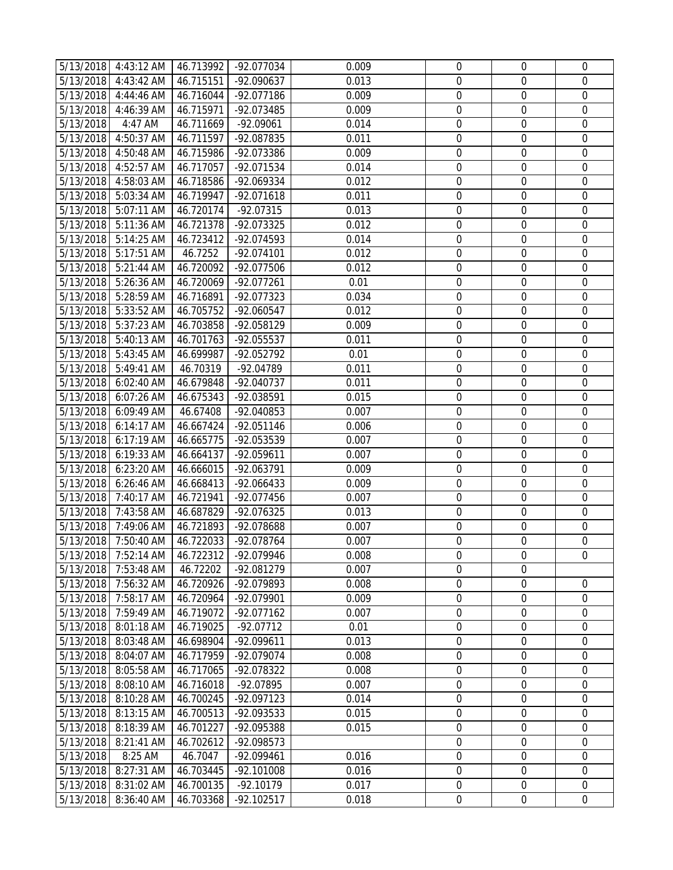|           | 5/13/2018 4:43:12 AM | 46.713992 | -92.077034   | 0.009 | $\boldsymbol{0}$ | 0                | 0                |
|-----------|----------------------|-----------|--------------|-------|------------------|------------------|------------------|
|           | 5/13/2018 4:43:42 AM | 46.715151 | -92.090637   | 0.013 | $\boldsymbol{0}$ | 0                | $\mathbf 0$      |
| 5/13/2018 | 4:44:46 AM           | 46.716044 | -92.077186   | 0.009 | $\boldsymbol{0}$ | $\mathbf 0$      | $\mathbf 0$      |
| 5/13/2018 | 4:46:39 AM           | 46.715971 | -92.073485   | 0.009 | $\boldsymbol{0}$ | $\mathbf 0$      | $\mathbf 0$      |
| 5/13/2018 | 4:47 AM              | 46.711669 | $-92.09061$  | 0.014 | $\boldsymbol{0}$ | $\mathbf 0$      | $\mathbf 0$      |
| 5/13/2018 | 4:50:37 AM           | 46.711597 | -92.087835   | 0.011 | $\boldsymbol{0}$ | $\boldsymbol{0}$ | $\boldsymbol{0}$ |
| 5/13/2018 | 4:50:48 AM           | 46.715986 | -92.073386   | 0.009 | $\boldsymbol{0}$ | $\boldsymbol{0}$ | $\mathbf 0$      |
| 5/13/2018 | 4:52:57 AM           | 46.717057 | -92.071534   | 0.014 | $\boldsymbol{0}$ | $\mathbf 0$      | $\mathbf 0$      |
| 5/13/2018 | 4:58:03 AM           | 46.718586 | -92.069334   | 0.012 | $\boldsymbol{0}$ | $\mathbf 0$      | $\mathbf 0$      |
| 5/13/2018 | 5:03:34 AM           | 46.719947 | -92.071618   | 0.011 | $\boldsymbol{0}$ | $\mathbf 0$      | $\mathbf 0$      |
| 5/13/2018 | 5:07:11 AM           | 46.720174 | $-92.07315$  | 0.013 | $\boldsymbol{0}$ | $\boldsymbol{0}$ | $\boldsymbol{0}$ |
| 5/13/2018 | 5:11:36 AM           | 46.721378 | -92.073325   | 0.012 | $\boldsymbol{0}$ | 0                | $\mathbf 0$      |
| 5/13/2018 | 5:14:25 AM           | 46.723412 | $-92.074593$ | 0.014 | $\boldsymbol{0}$ | $\boldsymbol{0}$ | $\mathbf 0$      |
| 5/13/2018 | 5:17:51 AM           | 46.7252   | -92.074101   | 0.012 | $\boldsymbol{0}$ | $\mathbf 0$      | $\mathbf 0$      |
| 5/13/2018 | 5:21:44 AM           | 46.720092 | -92.077506   | 0.012 | $\boldsymbol{0}$ | $\mathbf 0$      | $\overline{0}$   |
| 5/13/2018 | 5:26:36 AM           | 46.720069 | -92.077261   | 0.01  | $\boldsymbol{0}$ | $\mathbf 0$      | $\mathbf 0$      |
| 5/13/2018 | 5:28:59 AM           | 46.716891 | -92.077323   | 0.034 | $\boldsymbol{0}$ | $\mathbf 0$      | $\boldsymbol{0}$ |
| 5/13/2018 | 5:33:52 AM           | 46.705752 | -92.060547   | 0.012 | $\boldsymbol{0}$ | $\boldsymbol{0}$ | $\mathbf 0$      |
| 5/13/2018 | $5:37:23$ AM         | 46.703858 | -92.058129   | 0.009 | $\boldsymbol{0}$ | $\mathbf 0$      | $\mathbf 0$      |
| 5/13/2018 | 5:40:13 AM           | 46.701763 | -92.055537   | 0.011 | $\boldsymbol{0}$ | $\mathbf 0$      | $\mathbf 0$      |
| 5/13/2018 | 5:43:45 AM           | 46.699987 | -92.052792   | 0.01  | $\boldsymbol{0}$ | $\boldsymbol{0}$ | $\mathbf 0$      |
| 5/13/2018 | 5:49:41 AM           | 46.70319  | -92.04789    | 0.011 | $\boldsymbol{0}$ | $\mathbf 0$      | $\mathbf 0$      |
| 5/13/2018 | 6:02:40 AM           | 46.679848 | $-92.040737$ | 0.011 | $\boldsymbol{0}$ | $\mathbf 0$      | $\mathbf 0$      |
| 5/13/2018 | 6:07:26 AM           | 46.675343 | -92.038591   | 0.015 | $\boldsymbol{0}$ | $\boldsymbol{0}$ | $\mathbf 0$      |
|           | 5/13/2018 6:09:49 AM | 46.67408  | -92.040853   | 0.007 | $\boldsymbol{0}$ | $\mathbf 0$      | $\mathbf 0$      |
| 5/13/2018 | 6:14:17 AM           | 46.667424 | -92.051146   | 0.006 | $\boldsymbol{0}$ | $\mathbf 0$      | $\mathbf 0$      |
| 5/13/2018 | 6:17:19 AM           | 46.665775 | -92.053539   | 0.007 | $\boldsymbol{0}$ | $\boldsymbol{0}$ | $\boldsymbol{0}$ |
| 5/13/2018 | 6:19:33 AM           | 46.664137 | -92.059611   | 0.007 | $\boldsymbol{0}$ | $\mathbf 0$      | $\boldsymbol{0}$ |
| 5/13/2018 | 6:23:20 AM           | 46.666015 | -92.063791   | 0.009 | $\boldsymbol{0}$ | $\boldsymbol{0}$ | $\mathbf 0$      |
| 5/13/2018 | 6:26:46 AM           | 46.668413 | -92.066433   | 0.009 | $\boldsymbol{0}$ | $\mathbf 0$      | $\mathbf 0$      |
| 5/13/2018 | 7:40:17 AM           | 46.721941 | -92.077456   | 0.007 | $\boldsymbol{0}$ | $\mathbf 0$      | 0                |
| 5/13/2018 | 7:43:58 AM           | 46.687829 | -92.076325   | 0.013 | $\boldsymbol{0}$ | $\mathbf 0$      | $\mathbf 0$      |
| 5/13/2018 | 7:49:06 AM           | 46.721893 | -92.078688   | 0.007 | $\boldsymbol{0}$ | $\boldsymbol{0}$ | $\boldsymbol{0}$ |
| 5/13/2018 | 7:50:40 AM           | 46.722033 | $-92.078764$ | 0.007 | $\boldsymbol{0}$ | $\mathbf 0$      | $\mathbf 0$      |
| 5/13/2018 | 7:52:14 AM           | 46.722312 | -92.079946   | 0.008 | 0                | 0                | 0                |
| 5/13/2018 | 7:53:48 AM           | 46.72202  | -92.081279   | 0.007 | $\mathbf 0$      | $\Omega$         |                  |
| 5/13/2018 | 7:56:32 AM           | 46.720926 | -92.079893   | 0.008 | $\mathbf 0$      | $\mathbf 0$      | $\mathbf 0$      |
| 5/13/2018 | 7:58:17 AM           | 46.720964 | -92.079901   | 0.009 | $\boldsymbol{0}$ | $\boldsymbol{0}$ | $\mathbf 0$      |
| 5/13/2018 | 7:59:49 AM           | 46.719072 | -92.077162   | 0.007 | $\boldsymbol{0}$ | 0                | 0                |
| 5/13/2018 | 8:01:18 AM           | 46.719025 | $-92.07712$  | 0.01  | $\boldsymbol{0}$ | 0                | 0                |
| 5/13/2018 | 8:03:48 AM           | 46.698904 | -92.099611   | 0.013 | $\mathbf 0$      | $\mathbf 0$      | $\mathbf 0$      |
| 5/13/2018 | 8:04:07 AM           | 46.717959 | -92.079074   | 0.008 | $\boldsymbol{0}$ | 0                | 0                |
| 5/13/2018 | 8:05:58 AM           | 46.717065 | -92.078322   | 0.008 | $\boldsymbol{0}$ | $\mathbf 0$      | $\mathbf 0$      |
| 5/13/2018 | 8:08:10 AM           | 46.716018 | -92.07895    | 0.007 | $\boldsymbol{0}$ | $\mathbf 0$      | $\mathbf 0$      |
| 5/13/2018 | 8:10:28 AM           | 46.700245 | -92.097123   | 0.014 | $\boldsymbol{0}$ | $\boldsymbol{0}$ | $\boldsymbol{0}$ |
| 5/13/2018 | 8:13:15 AM           | 46.700513 | -92.093533   | 0.015 | $\boldsymbol{0}$ | $\mathbf 0$      | $\mathbf 0$      |
| 5/13/2018 | 8:18:39 AM           | 46.701227 | -92.095388   | 0.015 | $\boldsymbol{0}$ | $\mathbf 0$      | 0                |
| 5/13/2018 | 8:21:41 AM           | 46.702612 | -92.098573   |       | $\mathbf 0$      | $\mathbf 0$      | 0                |
| 5/13/2018 | 8:25 AM              | 46.7047   | -92.099461   | 0.016 | $\boldsymbol{0}$ | $\mathbf 0$      | $\mathbf 0$      |
| 5/13/2018 | 8:27:31 AM           | 46.703445 | -92.101008   | 0.016 | $\boldsymbol{0}$ | 0                | 0                |
| 5/13/2018 | 8:31:02 AM           | 46.700135 | $-92.10179$  | 0.017 | $\boldsymbol{0}$ | 0                | 0                |
| 5/13/2018 | 8:36:40 AM           | 46.703368 | $-92.102517$ | 0.018 | $\boldsymbol{0}$ | $\boldsymbol{0}$ | $\mathbf 0$      |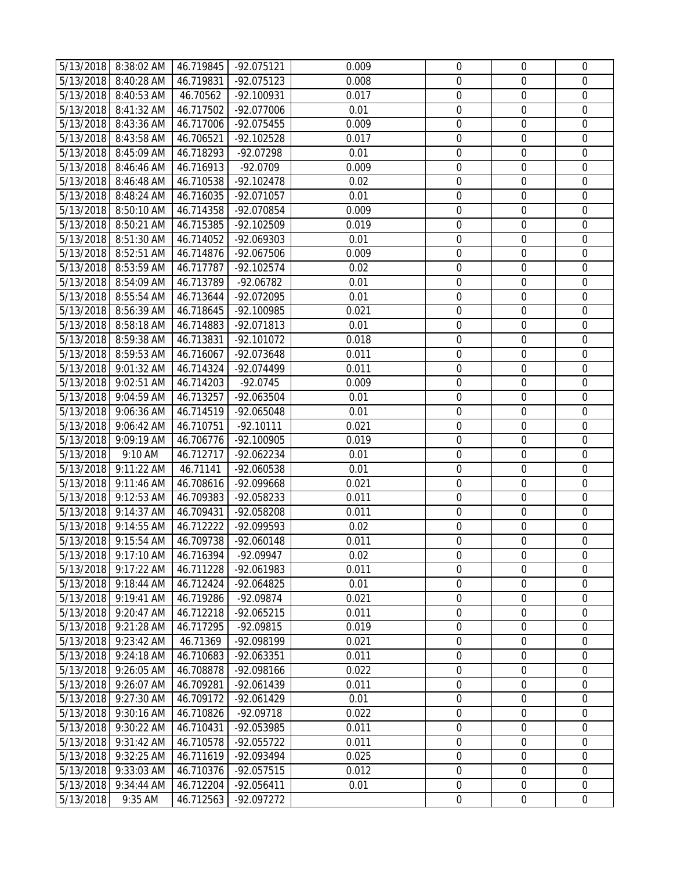|           | 5/13/2018 8:38:02 AM<br>5/13/2018 8:40:28 AM | 46.719845 | -92.075121<br>-92.075123 | 0.009<br>0.008 | $\boldsymbol{0}$<br>$\boldsymbol{0}$ | 0<br>0           | 0<br>$\mathbf 0$ |
|-----------|----------------------------------------------|-----------|--------------------------|----------------|--------------------------------------|------------------|------------------|
|           |                                              | 46.719831 |                          |                |                                      |                  | $\mathbf 0$      |
|           | 5/13/2018 8:40:53 AM                         | 46.70562  | -92.100931               | 0.017          | $\boldsymbol{0}$                     | $\mathbf 0$      |                  |
| 5/13/2018 | 8:41:32 AM                                   | 46.717502 | -92.077006               | 0.01           | $\boldsymbol{0}$                     | $\mathbf 0$      | $\mathbf 0$      |
| 5/13/2018 | 8:43:36 AM                                   | 46.717006 | -92.075455               | 0.009          | $\boldsymbol{0}$                     | $\mathbf 0$      | $\mathbf 0$      |
| 5/13/2018 | 8:43:58 AM                                   | 46.706521 | -92.102528               | 0.017          | $\boldsymbol{0}$                     | $\mathbf 0$      | $\mathbf 0$      |
| 5/13/2018 | 8:45:09 AM                                   | 46.718293 | -92.07298                | 0.01           | $\boldsymbol{0}$                     | $\boldsymbol{0}$ | $\mathbf 0$      |
| 5/13/2018 | 8:46:46 AM                                   | 46.716913 | $-92.0709$               | 0.009          | $\boldsymbol{0}$                     | $\mathbf 0$      | $\mathbf 0$      |
|           | 5/13/2018 8:46:48 AM                         | 46.710538 | -92.102478               | 0.02           | $\boldsymbol{0}$                     | $\mathbf 0$      | $\mathbf 0$      |
|           | 5/13/2018 8:48:24 AM                         | 46.716035 | -92.071057               | 0.01           | $\boldsymbol{0}$                     | $\mathbf 0$      | $\mathbf 0$      |
|           | 5/13/2018 8:50:10 AM                         | 46.714358 | -92.070854               | 0.009          | $\boldsymbol{0}$                     | $\boldsymbol{0}$ | $\boldsymbol{0}$ |
| 5/13/2018 | 8:50:21 AM                                   | 46.715385 | -92.102509               | 0.019          | $\boldsymbol{0}$                     | 0                | $\mathbf 0$      |
|           | 5/13/2018 8:51:30 AM                         | 46.714052 | -92.069303               | 0.01           | $\boldsymbol{0}$                     | $\boldsymbol{0}$ | $\mathbf 0$      |
| 5/13/2018 | 8:52:51 AM                                   | 46.714876 | -92.067506               | 0.009          | $\boldsymbol{0}$                     | $\mathbf 0$      | $\mathbf 0$      |
| 5/13/2018 | 8:53:59 AM                                   | 46.717787 | $-92.102574$             | 0.02           | $\boldsymbol{0}$                     | $\mathbf 0$      | $\overline{0}$   |
| 5/13/2018 | 8:54:09 AM                                   | 46.713789 | -92.06782                | 0.01           | $\boldsymbol{0}$                     | $\mathbf 0$      | $\mathbf 0$      |
| 5/13/2018 | 8:55:54 AM                                   | 46.713644 | $-92.072095$             | 0.01           | $\boldsymbol{0}$                     | $\mathbf 0$      | $\mathbf 0$      |
| 5/13/2018 | 8:56:39 AM                                   | 46.718645 | -92.100985               | 0.021          | $\boldsymbol{0}$                     | $\boldsymbol{0}$ | $\mathbf 0$      |
| 5/13/2018 | 8:58:18 AM                                   | 46.714883 | -92.071813               | 0.01           | $\boldsymbol{0}$                     | $\mathbf 0$      | $\mathbf 0$      |
|           | 5/13/2018 8:59:38 AM                         | 46.713831 | -92.101072               | 0.018          | $\boldsymbol{0}$                     | $\mathbf 0$      | $\mathbf 0$      |
|           | 5/13/2018 8:59:53 AM                         | 46.716067 | -92.073648               | 0.011          | $\boldsymbol{0}$                     | $\mathbf 0$      | $\mathbf 0$      |
|           | 5/13/2018 9:01:32 AM                         | 46.714324 | -92.074499               | 0.011          | $\boldsymbol{0}$                     | $\mathbf 0$      | $\mathbf 0$      |
| 5/13/2018 | 9:02:51 AM                                   | 46.714203 | $-92.0745$               | 0.009          | $\boldsymbol{0}$                     | $\mathbf 0$      | $\mathbf 0$      |
| 5/13/2018 | 9:04:59 AM                                   | 46.713257 | -92.063504               | 0.01           | $\boldsymbol{0}$                     | 0                | $\mathbf 0$      |
|           | 5/13/2018 9:06:36 AM                         | 46.714519 | -92.065048               | 0.01           | $\boldsymbol{0}$                     | $\mathbf 0$      | $\mathbf 0$      |
| 5/13/2018 | 9:06:42 AM                                   | 46.710751 | $-92.10111$              | 0.021          | $\boldsymbol{0}$                     | $\mathbf 0$      | $\mathbf 0$      |
| 5/13/2018 | 9:09:19 AM                                   | 46.706776 | -92.100905               | 0.019          | $\boldsymbol{0}$                     | $\boldsymbol{0}$ | $\boldsymbol{0}$ |
| 5/13/2018 | 9:10 AM                                      | 46.712717 | -92.062234               | 0.01           | $\boldsymbol{0}$                     | $\mathbf 0$      | $\mathbf 0$      |
| 5/13/2018 | 9:11:22 AM                                   | 46.71141  | -92.060538               | 0.01           | $\boldsymbol{0}$                     | $\boldsymbol{0}$ | $\mathbf 0$      |
| 5/13/2018 | 9:11:46 AM                                   | 46.708616 | -92.099668               | 0.021          | $\boldsymbol{0}$                     | $\mathbf 0$      | $\mathbf 0$      |
| 5/13/2018 | 9:12:53 AM                                   | 46.709383 | -92.058233               | 0.011          | $\boldsymbol{0}$                     | $\mathbf 0$      | 0                |
| 5/13/2018 | 9:14:37 AM                                   | 46.709431 | -92.058208               | 0.011          | $\boldsymbol{0}$                     | $\mathbf 0$      | $\mathbf 0$      |
| 5/13/2018 | 9:14:55 AM                                   | 46.712222 | -92.099593               | 0.02           | $\boldsymbol{0}$                     | $\mathbf 0$      | $\boldsymbol{0}$ |
| 5/13/2018 | 9:15:54 AM                                   | 46.709738 | -92.060148               | 0.011          | $\boldsymbol{0}$                     | $\mathbf 0$      | $\mathbf 0$      |
|           | 5/13/2018 9:17:10 AM                         | 46.716394 | -92.09947                | 0.02           | 0                                    | 0                | 0                |
| 5/13/2018 | 9:17:22 AM                                   | 46.711228 | -92.061983               | 0.011          | $\mathbf 0$                          | $\Omega$         | 0                |
| 5/13/2018 | 9:18:44 AM                                   | 46.712424 | -92.064825               | 0.01           | $\mathbf 0$                          | $\mathbf 0$      | 0                |
| 5/13/2018 | 9:19:41 AM                                   | 46.719286 | -92.09874                | 0.021          | $\boldsymbol{0}$                     | $\boldsymbol{0}$ | $\mathbf 0$      |
| 5/13/2018 | 9:20:47 AM                                   | 46.712218 | -92.065215               | 0.011          | $\boldsymbol{0}$                     | $\mathbf 0$      | 0                |
| 5/13/2018 | 9:21:28 AM                                   | 46.717295 | -92.09815                | 0.019          | $\boldsymbol{0}$                     | $\boldsymbol{0}$ | 0                |
| 5/13/2018 | 9:23:42 AM                                   | 46.71369  | -92.098199               | 0.021          | $\mathbf 0$                          | $\mathbf 0$      | $\mathbf 0$      |
| 5/13/2018 | 9:24:18 AM                                   | 46.710683 | -92.063351               | 0.011          | $\boldsymbol{0}$                     | 0                | 0                |
| 5/13/2018 | 9:26:05 AM                                   | 46.708878 | -92.098166               | 0.022          | $\boldsymbol{0}$                     | 0                | $\mathbf 0$      |
| 5/13/2018 | 9:26:07 AM                                   | 46.709281 | -92.061439               | 0.011          | $\boldsymbol{0}$                     | $\mathbf 0$      | $\mathbf 0$      |
| 5/13/2018 | 9:27:30 AM                                   | 46.709172 | -92.061429               | 0.01           | $\boldsymbol{0}$                     | $\boldsymbol{0}$ | $\boldsymbol{0}$ |
| 5/13/2018 | 9:30:16 AM                                   | 46.710826 | $-92.09718$              | 0.022          | $\boldsymbol{0}$                     | $\mathbf 0$      | $\mathbf 0$      |
| 5/13/2018 | 9:30:22 AM                                   | 46.710431 | -92.053985               | 0.011          | $\boldsymbol{0}$                     | $\mathbf 0$      | 0                |
| 5/13/2018 | 9:31:42 AM                                   | 46.710578 | -92.055722               | 0.011          | $\mathbf 0$                          | $\mathbf 0$      | 0                |
| 5/13/2018 | 9:32:25 AM                                   | 46.711619 | -92.093494               | 0.025          | $\boldsymbol{0}$                     | $\mathbf 0$      | $\mathbf 0$      |
| 5/13/2018 | 9:33:03 AM                                   | 46.710376 | $-92.057515$             | 0.012          | $\boldsymbol{0}$                     | $\mathbf 0$      | $\boldsymbol{0}$ |
| 5/13/2018 | $9:34:44$ AM                                 | 46.712204 | $-92.056411$             | 0.01           | $\boldsymbol{0}$                     | $\boldsymbol{0}$ | 0                |
| 5/13/2018 | 9:35 AM                                      | 46.712563 | -92.097272               |                | $\mathbf 0$                          | $\mathbf 0$      | $\mathbf 0$      |
|           |                                              |           |                          |                |                                      |                  |                  |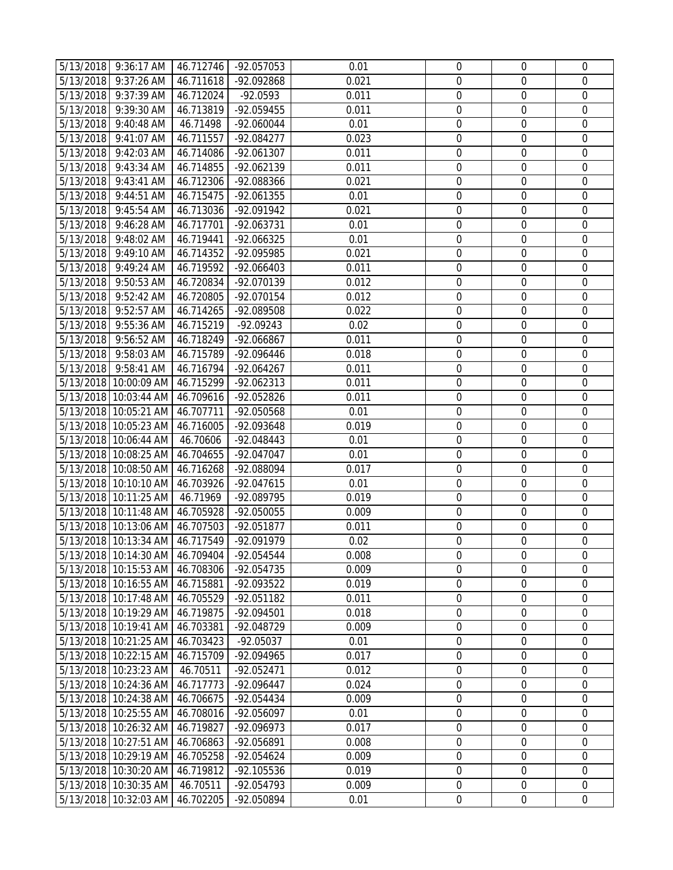|           | 5/13/2018 9:36:17 AM            | 46.712746 | -92.057053  | 0.01  | $\boldsymbol{0}$ | 0                | 0                |
|-----------|---------------------------------|-----------|-------------|-------|------------------|------------------|------------------|
|           | 5/13/2018 9:37:26 AM            | 46.711618 | -92.092868  | 0.021 | $\mathbf 0$      | $\mathbf 0$      | $\mathbf 0$      |
|           | 5/13/2018 9:37:39 AM            | 46.712024 | $-92.0593$  | 0.011 | $\boldsymbol{0}$ | $\mathbf 0$      | $\mathbf 0$      |
| 5/13/2018 | 9:39:30 AM                      | 46.713819 | -92.059455  | 0.011 | $\boldsymbol{0}$ | $\mathbf 0$      | $\mathbf 0$      |
| 5/13/2018 | 9:40:48 AM                      | 46.71498  | -92.060044  | 0.01  | $\boldsymbol{0}$ | $\mathbf 0$      | $\mathbf 0$      |
| 5/13/2018 | 9:41:07 AM                      | 46.711557 | -92.084277  | 0.023 | $\boldsymbol{0}$ | $\boldsymbol{0}$ | $\boldsymbol{0}$ |
| 5/13/2018 | 9:42:03 AM                      | 46.714086 | -92.061307  | 0.011 | $\boldsymbol{0}$ | $\mathbf 0$      | $\mathbf 0$      |
| 5/13/2018 | 9:43:34 AM                      | 46.714855 | -92.062139  | 0.011 | $\boldsymbol{0}$ | $\mathbf 0$      | $\boldsymbol{0}$ |
| 5/13/2018 | 9:43:41 AM                      | 46.712306 | -92.088366  | 0.021 | $\boldsymbol{0}$ | $\mathbf 0$      | $\mathbf 0$      |
|           | 5/13/2018 9:44:51 AM            | 46.715475 | -92.061355  | 0.01  | $\boldsymbol{0}$ | $\mathbf 0$      | $\mathbf 0$      |
| 5/13/2018 | 9:45:54 AM                      | 46.713036 | -92.091942  | 0.021 | $\boldsymbol{0}$ | $\mathbf 0$      | $\mathbf 0$      |
| 5/13/2018 | 9:46:28 AM                      | 46.717701 | -92.063731  | 0.01  | $\boldsymbol{0}$ | $\mathbf 0$      | 0                |
|           | 5/13/2018 9:48:02 AM            | 46.719441 | -92.066325  | 0.01  | $\overline{0}$   | $\mathbf 0$      | $\mathbf 0$      |
| 5/13/2018 | 9:49:10 AM                      | 46.714352 | -92.095985  | 0.021 | $\boldsymbol{0}$ | $\mathbf 0$      | $\mathbf 0$      |
| 5/13/2018 | 9:49:24 AM                      | 46.719592 | -92.066403  | 0.011 | $\boldsymbol{0}$ | $\mathbf 0$      | $\mathbf 0$      |
| 5/13/2018 | 9:50:53 AM                      | 46.720834 | -92.070139  | 0.012 | $\boldsymbol{0}$ | $\mathbf 0$      | $\mathbf 0$      |
| 5/13/2018 | 9:52:42 AM                      | 46.720805 | -92.070154  | 0.012 | $\boldsymbol{0}$ | $\boldsymbol{0}$ | $\boldsymbol{0}$ |
| 5/13/2018 | 9:52:57 AM                      | 46.714265 | -92.089508  | 0.022 | $\boldsymbol{0}$ | $\mathbf 0$      | $\mathbf 0$      |
| 5/13/2018 | 9:55:36 AM                      | 46.715219 | $-92.09243$ | 0.02  | $\boldsymbol{0}$ | $\mathbf 0$      | $\mathbf 0$      |
|           | 5/13/2018 9:56:52 AM            | 46.718249 | -92.066867  | 0.011 | $\boldsymbol{0}$ | $\mathbf 0$      | $\mathbf 0$      |
|           | 5/13/2018 9:58:03 AM            | 46.715789 | -92.096446  | 0.018 | $\boldsymbol{0}$ | $\mathbf 0$      | $\mathbf 0$      |
|           | 5/13/2018 9:58:41 AM            | 46.716794 | -92.064267  | 0.011 | $\boldsymbol{0}$ | $\mathbf 0$      | $\boldsymbol{0}$ |
|           | 5/13/2018 10:00:09 AM           | 46.715299 | -92.062313  | 0.011 | $\boldsymbol{0}$ | $\mathbf 0$      | $\mathbf 0$      |
|           | 5/13/2018 10:03:44 AM           | 46.709616 | -92.052826  | 0.011 | $\overline{0}$   | $\mathbf 0$      | $\mathbf 0$      |
|           | 5/13/2018 10:05:21 AM 46.707711 |           | -92.050568  | 0.01  | $\boldsymbol{0}$ | $\mathbf 0$      | $\mathbf 0$      |
|           | 5/13/2018 10:05:23 AM 46.716005 |           | -92.093648  | 0.019 | $\boldsymbol{0}$ | $\mathbf 0$      | $\mathbf 0$      |
|           | 5/13/2018 10:06:44 AM           | 46.70606  | -92.048443  | 0.01  | $\boldsymbol{0}$ | $\mathbf 0$      | $\mathbf 0$      |
|           | 5/13/2018 10:08:25 AM           | 46.704655 | -92.047047  | 0.01  | $\boldsymbol{0}$ | $\boldsymbol{0}$ | $\boldsymbol{0}$ |
|           | 5/13/2018 10:08:50 AM           | 46.716268 | -92.088094  | 0.017 | $\boldsymbol{0}$ | $\boldsymbol{0}$ | $\mathbf 0$      |
|           | 5/13/2018 10:10:10 AM           | 46.703926 | -92.047615  | 0.01  | $\boldsymbol{0}$ | $\mathbf 0$      | $\mathbf 0$      |
|           | 5/13/2018 10:11:25 AM           | 46.71969  | -92.089795  | 0.019 | $\mathbf 0$      | $\mathbf 0$      | $\mathbf 0$      |
|           | 5/13/2018 10:11:48 AM 46.705928 |           | -92.050055  | 0.009 | $\boldsymbol{0}$ | $\boldsymbol{0}$ | $\boldsymbol{0}$ |
|           | 5/13/2018 10:13:06 AM           | 46.707503 | -92.051877  | 0.011 | $\boldsymbol{0}$ | $\boldsymbol{0}$ | $\boldsymbol{0}$ |
|           | 5/13/2018 10:13:34 AM           | 46.717549 | -92.091979  | 0.02  | $\mathbf 0$      | $\mathbf 0$      | $\overline{0}$   |
|           | 5/13/2018 10:14:30 AM 46.709404 |           | -92.054544  | 0.008 | 0                | $\boldsymbol{0}$ | $\boldsymbol{0}$ |
|           | 5/13/2018 10:15:53 AM 46.708306 |           | -92.054735  | 0.009 | 0                | $\mathbf 0$      | 0                |
|           | 5/13/2018 10:16:55 AM 46.715881 |           | -92.093522  | 0.019 | $\boldsymbol{0}$ | $\mathbf 0$      | $\mathbf 0$      |
|           | 5/13/2018 10:17:48 AM 46.705529 |           | -92.051182  | 0.011 | $\boldsymbol{0}$ | $\mathbf 0$      | $\mathbf 0$      |
|           | 5/13/2018 10:19:29 AM           | 46.719875 | -92.094501  | 0.018 | $\boldsymbol{0}$ | $\boldsymbol{0}$ | $\boldsymbol{0}$ |
|           | 5/13/2018 10:19:41 AM           | 46.703381 | -92.048729  | 0.009 | $\boldsymbol{0}$ | 0                | 0                |
|           | 5/13/2018 10:21:25 AM           | 46.703423 | $-92.05037$ | 0.01  | $\boldsymbol{0}$ | $\mathbf 0$      | $\mathbf 0$      |
|           | 5/13/2018 10:22:15 AM           | 46.715709 | -92.094965  | 0.017 | $\mathbf 0$      | $\mathbf 0$      | $\overline{0}$   |
|           | 5/13/2018 10:23:23 AM           | 46.70511  | -92.052471  | 0.012 | $\boldsymbol{0}$ | $\mathbf 0$      | $\mathbf 0$      |
|           | 5/13/2018 10:24:36 AM           | 46.717773 | -92.096447  | 0.024 | $\boldsymbol{0}$ | $\mathbf 0$      | $\mathbf 0$      |
|           | 5/13/2018 10:24:38 AM           | 46.706675 | -92.054434  | 0.009 | $\boldsymbol{0}$ | $\mathbf 0$      | $\mathbf 0$      |
|           | 5/13/2018 10:25:55 AM           | 46.708016 | -92.056097  | 0.01  | $\boldsymbol{0}$ | $\boldsymbol{0}$ | $\mathbf 0$      |
|           | 5/13/2018 10:26:32 AM           | 46.719827 | -92.096973  | 0.017 | $\mathbf 0$      | $\mathbf 0$      | $\overline{0}$   |
|           | 5/13/2018 10:27:51 AM           | 46.706863 | -92.056891  | 0.008 | $\boldsymbol{0}$ | $\mathbf 0$      | $\mathbf 0$      |
|           | 5/13/2018 10:29:19 AM           | 46.705258 | -92.054624  | 0.009 | $\boldsymbol{0}$ | $\mathbf 0$      | $\mathbf 0$      |
|           | 5/13/2018 10:30:20 AM           | 46.719812 | -92.105536  | 0.019 | $\boldsymbol{0}$ | 0                | $\boldsymbol{0}$ |
|           | 5/13/2018 10:30:35 AM           | 46.70511  | -92.054793  | 0.009 | $\boldsymbol{0}$ | $\boldsymbol{0}$ | 0                |
|           | 5/13/2018 10:32:03 AM           | 46.702205 | -92.050894  | 0.01  | $\boldsymbol{0}$ | $\mathbf 0$      | $\mathbf 0$      |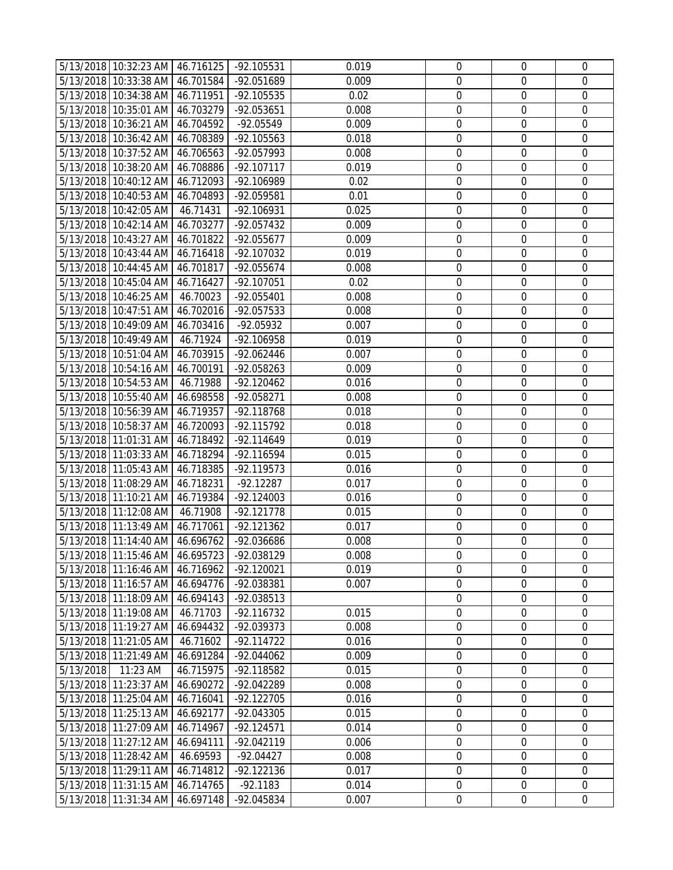|           | 5/13/2018 10:32:23 AM 46.716125 |           | -92.105531   | 0.019 | $\overline{0}$   | 0                | 0                |
|-----------|---------------------------------|-----------|--------------|-------|------------------|------------------|------------------|
|           | 5/13/2018 10:33:38 AM 46.701584 |           | -92.051689   | 0.009 | $\boldsymbol{0}$ | 0                | $\mathbf 0$      |
|           | 5/13/2018 10:34:38 AM 46.711951 |           | -92.105535   | 0.02  | $\mathbf 0$      | $\mathbf 0$      | $\mathbf 0$      |
|           | 5/13/2018 10:35:01 AM 46.703279 |           | -92.053651   | 0.008 | $\boldsymbol{0}$ | $\mathbf 0$      | $\mathbf 0$      |
|           | 5/13/2018 10:36:21 AM 46.704592 |           | -92.05549    | 0.009 | $\boldsymbol{0}$ | $\mathbf 0$      | $\mathbf 0$      |
|           | 5/13/2018 10:36:42 AM           | 46.708389 | -92.105563   | 0.018 | $\boldsymbol{0}$ | $\mathbf 0$      | $\mathbf 0$      |
|           | 5/13/2018 10:37:52 AM           | 46.706563 | -92.057993   | 0.008 | $\boldsymbol{0}$ | $\boldsymbol{0}$ | $\mathbf 0$      |
|           | 5/13/2018 10:38:20 AM           | 46.708886 | -92.107117   | 0.019 | $\mathbf 0$      | $\mathbf 0$      | $\mathbf 0$      |
|           | 5/13/2018 10:40:12 AM 46.712093 |           | -92.106989   | 0.02  | $\boldsymbol{0}$ | $\mathbf 0$      | $\mathbf 0$      |
|           | 5/13/2018 10:40:53 AM 46.704893 |           | -92.059581   | 0.01  | $\boldsymbol{0}$ | $\mathbf 0$      | $\mathbf 0$      |
|           | 5/13/2018 10:42:05 AM           | 46.71431  | -92.106931   | 0.025 | $\boldsymbol{0}$ | $\boldsymbol{0}$ | $\boldsymbol{0}$ |
|           | 5/13/2018 10:42:14 AM 46.703277 |           | -92.057432   | 0.009 | $\boldsymbol{0}$ | $\mathbf 0$      | $\mathbf 0$      |
|           | 5/13/2018 10:43:27 AM           | 46.701822 | $-92.055677$ | 0.009 | $\boldsymbol{0}$ | $\boldsymbol{0}$ | $\mathbf 0$      |
|           | 5/13/2018 10:43:44 AM 46.716418 |           | -92.107032   | 0.019 | $\mathbf 0$      | $\mathbf 0$      | $\mathbf 0$      |
|           | 5/13/2018 10:44:45 AM 46.701817 |           | -92.055674   | 0.008 | $\boldsymbol{0}$ | $\mathbf 0$      | $\mathbf 0$      |
|           | 5/13/2018 10:45:04 AM 46.716427 |           | -92.107051   | 0.02  | $\boldsymbol{0}$ | $\mathbf 0$      | $\mathbf 0$      |
|           | 5/13/2018 10:46:25 AM           | 46.70023  | -92.055401   | 0.008 | $\boldsymbol{0}$ | $\mathbf 0$      | $\mathbf 0$      |
|           | 5/13/2018 10:47:51 AM 46.702016 |           | -92.057533   | 0.008 | $\boldsymbol{0}$ | $\boldsymbol{0}$ | 0                |
|           | 5/13/2018 10:49:09 AM 46.703416 |           | -92.05932    | 0.007 | $\mathbf 0$      | $\mathbf 0$      | $\mathbf 0$      |
|           | 5/13/2018 10:49:49 AM           | 46.71924  | -92.106958   | 0.019 | $\boldsymbol{0}$ | $\mathbf 0$      | $\mathbf 0$      |
|           | 5/13/2018 10:51:04 AM 46.703915 |           | -92.062446   | 0.007 | $\boldsymbol{0}$ | $\mathbf 0$      | $\mathbf 0$      |
|           | 5/13/2018 10:54:16 AM 46.700191 |           | -92.058263   | 0.009 | $\boldsymbol{0}$ | $\mathbf 0$      | $\mathbf 0$      |
|           | 5/13/2018 10:54:53 AM           | 46.71988  | $-92.120462$ | 0.016 | $\boldsymbol{0}$ | $\mathbf 0$      | $\mathbf 0$      |
|           | 5/13/2018 10:55:40 AM 46.698558 |           | -92.058271   | 0.008 | $\boldsymbol{0}$ | 0                | $\mathbf 0$      |
|           | 5/13/2018 10:56:39 AM 46.719357 |           | -92.118768   | 0.018 | $\boldsymbol{0}$ | $\mathbf 0$      | $\mathbf 0$      |
|           | 5/13/2018 10:58:37 AM 46.720093 |           | -92.115792   | 0.018 | $\boldsymbol{0}$ | $\mathbf 0$      | $\mathbf 0$      |
|           | 5/13/2018 11:01:31 AM           | 46.718492 | -92.114649   | 0.019 | $\boldsymbol{0}$ | $\mathbf 0$      | $\mathbf 0$      |
|           | 5/13/2018 11:03:33 AM           | 46.718294 | -92.116594   | 0.015 | $\boldsymbol{0}$ | $\mathbf 0$      | $\mathbf 0$      |
|           | 5/13/2018 11:05:43 AM           | 46.718385 | $-92.119573$ | 0.016 | $\boldsymbol{0}$ | $\boldsymbol{0}$ | $\mathbf 0$      |
|           | 5/13/2018 11:08:29 AM           | 46.718231 | $-92.12287$  | 0.017 | $\mathbf 0$      | $\mathbf 0$      | $\mathbf 0$      |
|           | 5/13/2018 11:10:21 AM 46.719384 |           | -92.124003   | 0.016 | $\mathbf 0$      | $\mathbf 0$      | $\mathbf 0$      |
|           | 5/13/2018 11:12:08 AM           | 46.71908  | $-92.121778$ | 0.015 | $\boldsymbol{0}$ | $\mathbf 0$      | $\mathbf 0$      |
|           | 5/13/2018 11:13:49 AM 46.717061 |           | -92.121362   | 0.017 | $\boldsymbol{0}$ | $\mathbf 0$      | $\overline{0}$   |
|           | 5/13/2018 11:14:40 AM 46.696762 |           | -92.036686   | 0.008 | $\mathbf 0$      | $\mathbf 0$      | $\overline{0}$   |
|           | 5/13/2018 11:15:46 AM 46.695723 |           | -92.038129   | 0.008 | 0                | 0                | 0                |
|           | 5/13/2018 11:16:46 AM           | 46.716962 | -92.120021   | 0.019 | $\overline{0}$   | $\Omega$         | 0                |
|           | 5/13/2018 11:16:57 AM           | 46.694776 | -92.038381   | 0.007 | $\mathbf 0$      | $\overline{0}$   | $\overline{0}$   |
|           | 5/13/2018 11:18:09 AM           | 46.694143 | -92.038513   |       | $\boldsymbol{0}$ | $\mathbf 0$      | $\mathbf 0$      |
|           | 5/13/2018 11:19:08 AM           | 46.71703  | -92.116732   | 0.015 | $\boldsymbol{0}$ | $\mathbf 0$      | $\mathbf 0$      |
|           | 5/13/2018 11:19:27 AM           | 46.694432 | -92.039373   | 0.008 | $\boldsymbol{0}$ | 0                | $\mathbf 0$      |
|           | 5/13/2018 11:21:05 AM           | 46.71602  | $-92.114722$ | 0.016 | $\mathbf 0$      | $\mathbf 0$      | $\mathbf 0$      |
|           | 5/13/2018 11:21:49 AM           | 46.691284 | -92.044062   | 0.009 | $\mathbf 0$      | $\mathbf 0$      | 0                |
| 5/13/2018 | 11:23 AM                        | 46.715975 | -92.118582   | 0.015 | $\mathbf 0$      | 0                | $\mathbf 0$      |
|           | 5/13/2018 11:23:37 AM           | 46.690272 | -92.042289   | 0.008 | $\boldsymbol{0}$ | $\mathbf 0$      | $\mathbf 0$      |
|           | 5/13/2018 11:25:04 AM           | 46.716041 | -92.122705   | 0.016 | $\boldsymbol{0}$ | 0                | $\mathbf 0$      |
|           | 5/13/2018 11:25:13 AM           | 46.692177 | -92.043305   | 0.015 | $\boldsymbol{0}$ | $\boldsymbol{0}$ | 0                |
|           | 5/13/2018 11:27:09 AM           | 46.714967 | $-92.124571$ | 0.014 | $\boldsymbol{0}$ | $\mathbf 0$      | $\mathbf 0$      |
|           | 5/13/2018 11:27:12 AM           | 46.694111 | -92.042119   | 0.006 | $\mathbf 0$      | $\mathbf 0$      | $\overline{0}$   |
|           | 5/13/2018 11:28:42 AM           | 46.69593  | $-92.04427$  | 0.008 | $\boldsymbol{0}$ | $\mathbf 0$      | $\mathbf 0$      |
|           | 5/13/2018 11:29:11 AM           | 46.714812 | $-92.122136$ | 0.017 | $\mathbf 0$      | $\mathbf 0$      | $\mathbf 0$      |
|           | 5/13/2018 11:31:15 AM           | 46.714765 | $-92.1183$   | 0.014 | $\boldsymbol{0}$ | $\mathbf 0$      | $\mathbf 0$      |
|           | 5/13/2018 11:31:34 AM           | 46.697148 | -92.045834   | 0.007 | $\boldsymbol{0}$ | $\mathbf 0$      | $\mathbf 0$      |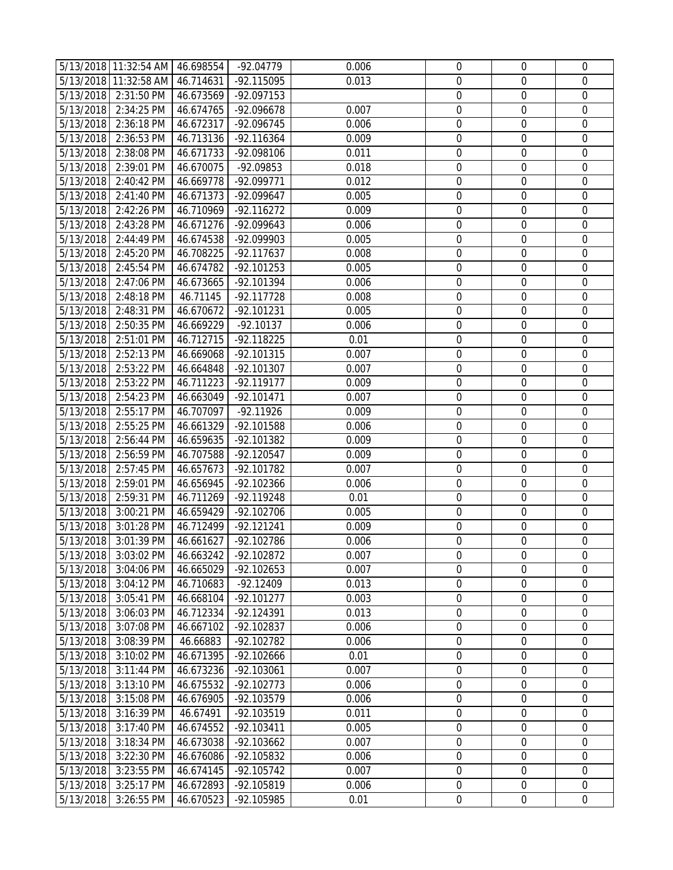|                        | 5/13/2018 11:32:54 AM 46.698554 |                       | $-92.04779$                  | 0.006          | $\boldsymbol{0}$                     | 0                     | 0                               |
|------------------------|---------------------------------|-----------------------|------------------------------|----------------|--------------------------------------|-----------------------|---------------------------------|
|                        | 5/13/2018 11:32:58 AM           | 46.714631             | -92.115095                   | 0.013          | $\boldsymbol{0}$                     | 0                     | $\mathbf 0$                     |
|                        | 5/13/2018 2:31:50 PM            | 46.673569             | -92.097153                   |                | $\boldsymbol{0}$                     | $\mathbf 0$           | $\mathbf 0$                     |
| 5/13/2018              | 2:34:25 PM                      | 46.674765             | -92.096678                   | 0.007          | $\boldsymbol{0}$                     | $\mathbf 0$           | $\mathbf 0$                     |
| 5/13/2018              | 2:36:18 PM                      | 46.672317             | -92.096745                   | 0.006          | $\boldsymbol{0}$                     | $\mathbf 0$           | $\mathbf 0$                     |
| 5/13/2018              | 2:36:53 PM                      | 46.713136             | -92.116364                   | 0.009          | $\boldsymbol{0}$                     | $\boldsymbol{0}$      | $\boldsymbol{0}$                |
| 5/13/2018              | 2:38:08 PM                      | 46.671733             | -92.098106                   | 0.011          | $\boldsymbol{0}$                     | $\boldsymbol{0}$      | $\mathbf 0$                     |
| 5/13/2018              | 2:39:01 PM                      | 46.670075             | -92.09853                    | 0.018          | $\boldsymbol{0}$                     | $\mathbf 0$           | $\mathbf 0$                     |
| 5/13/2018              | 2:40:42 PM                      | 46.669778             | -92.099771                   | 0.012          | $\boldsymbol{0}$                     | $\mathbf 0$           | $\mathbf 0$                     |
| 5/13/2018              | 2:41:40 PM                      | 46.671373             | -92.099647                   | 0.005          | $\boldsymbol{0}$                     | $\mathbf 0$           | $\mathbf 0$                     |
| 5/13/2018              | 2:42:26 PM                      | 46.710969             | -92.116272                   | 0.009          | $\boldsymbol{0}$                     | $\boldsymbol{0}$      | $\boldsymbol{0}$                |
| 5/13/2018              | 2:43:28 PM                      | 46.671276             | -92.099643                   | 0.006          | $\boldsymbol{0}$                     | 0                     | $\mathbf 0$                     |
| 5/13/2018              | 2:44:49 PM                      | 46.674538             | -92.099903                   | 0.005          | $\boldsymbol{0}$                     | $\boldsymbol{0}$      | $\mathbf 0$                     |
| 5/13/2018              | 2:45:20 PM                      | 46.708225             | -92.117637                   | 0.008          | $\boldsymbol{0}$                     | $\mathbf 0$           | $\mathbf 0$                     |
| 5/13/2018              | 2:45:54 PM                      | 46.674782             | $-92.101253$                 | 0.005          | $\boldsymbol{0}$                     | $\mathbf 0$           | $\mathbf 0$                     |
| 5/13/2018              | 2:47:06 PM                      | 46.673665             | -92.101394                   | 0.006          | $\boldsymbol{0}$                     | $\mathbf 0$           | $\mathbf 0$                     |
| 5/13/2018              | 2:48:18 PM                      | 46.71145              | -92.117728                   | 0.008          | $\boldsymbol{0}$                     | $\boldsymbol{0}$      | $\boldsymbol{0}$                |
| 5/13/2018              | 2:48:31 PM                      | 46.670672             | -92.101231                   | 0.005          | $\boldsymbol{0}$                     | $\boldsymbol{0}$      | $\mathbf 0$                     |
| 5/13/2018              | 2:50:35 PM                      | 46.669229             | $-92.10137$                  | 0.006          | $\boldsymbol{0}$                     | $\mathbf 0$           | $\mathbf 0$                     |
| 5/13/2018              | 2:51:01 PM                      | 46.712715             | -92.118225                   | 0.01           | $\boldsymbol{0}$                     | $\mathbf 0$           | $\mathbf 0$                     |
| 5/13/2018              | 2:52:13 PM                      | 46.669068             | -92.101315                   | 0.007          | $\boldsymbol{0}$                     | $\boldsymbol{0}$      | $\mathbf 0$                     |
| 5/13/2018              | 2:53:22 PM                      | 46.664848             | -92.101307                   | 0.007          | $\boldsymbol{0}$                     | $\mathbf 0$           | $\mathbf 0$                     |
| 5/13/2018              | 2:53:22 PM                      | 46.711223             | -92.119177                   | 0.009          | $\boldsymbol{0}$                     | 0                     | $\mathbf 0$                     |
| 5/13/2018              | 2:54:23 PM                      | 46.663049             | $-92.101471$                 | 0.007          | $\boldsymbol{0}$                     | $\boldsymbol{0}$      | $\mathbf 0$                     |
| 5/13/2018              | 2:55:17 PM                      | 46.707097             | $-92.11926$                  | 0.009          | $\boldsymbol{0}$                     | $\mathbf 0$           | $\mathbf 0$                     |
| 5/13/2018              | 2:55:25 PM                      | 46.661329             | -92.101588                   | 0.006          | $\boldsymbol{0}$                     | $\mathbf 0$           | $\mathbf 0$                     |
| 5/13/2018              | 2:56:44 PM                      | 46.659635             | -92.101382                   | 0.009          | $\boldsymbol{0}$                     | $\boldsymbol{0}$      | $\boldsymbol{0}$                |
| 5/13/2018              | 2:56:59 PM                      | 46.707588             | -92.120547                   | 0.009          | $\boldsymbol{0}$                     | $\boldsymbol{0}$      | $\boldsymbol{0}$                |
| 5/13/2018              | 2:57:45 PM                      | 46.657673             | -92.101782                   | 0.007          | $\boldsymbol{0}$                     | $\boldsymbol{0}$      | $\mathbf 0$                     |
| 5/13/2018              | 2:59:01 PM                      | 46.656945             | -92.102366                   | 0.006          | $\boldsymbol{0}$                     | $\mathbf 0$           | $\mathbf 0$                     |
| 5/13/2018              | 2:59:31 PM                      | 46.711269             | -92.119248                   | 0.01           | $\boldsymbol{0}$                     | $\mathbf 0$           | 0                               |
| 5/13/2018              | 3:00:21 PM                      | 46.659429             | -92.102706                   | 0.005          | $\boldsymbol{0}$                     | $\mathbf 0$           | $\mathbf 0$                     |
| 5/13/2018              | 3:01:28 PM                      | 46.712499             | $-92.121241$                 | 0.009          | $\boldsymbol{0}$                     | $\boldsymbol{0}$      | $\boldsymbol{0}$                |
| 5/13/2018              | 3:01:39 PM                      | 46.661627             | -92.102786                   | 0.006          | $\boldsymbol{0}$                     | $\mathbf 0$           | $\mathbf 0$                     |
|                        | 5/13/2018 3:03:02 PM            | 46.663242             | -92.102872                   | 0.007          | 0                                    | 0                     | 0                               |
| 5/13/2018              | 3:04:06 PM                      | 46.665029             | $-92.102653$                 | 0.007          | 0                                    | $\Omega$              | 0                               |
| 5/13/2018              | 3:04:12 PM                      | 46.710683             | $-92.12409$                  | 0.013          | $\mathbf 0$                          | $\mathbf 0$           | 0                               |
| 5/13/2018              | 3:05:41 PM                      | 46.668104             | -92.101277                   | 0.003          | $\boldsymbol{0}$                     | $\mathbf 0$           | 0                               |
| 5/13/2018              | 3:06:03 PM                      | 46.712334             | -92.124391                   | 0.013          | $\boldsymbol{0}$                     | 0                     | 0                               |
| 5/13/2018              | 3:07:08 PM                      | 46.667102             | -92.102837                   | 0.006          | $\boldsymbol{0}$                     | 0                     | 0                               |
| 5/13/2018              | 3:08:39 PM                      | 46.66883              | -92.102782                   | 0.006          | $\mathbf 0$                          | $\mathbf 0$           | $\mathbf 0$                     |
| 5/13/2018              | 3:10:02 PM                      | 46.671395             | -92.102666                   | 0.01           | $\boldsymbol{0}$                     | 0                     | 0                               |
| 5/13/2018              | 3:11:44 PM                      | 46.673236             | $-92.103061$<br>$-92.102773$ | 0.007<br>0.006 | $\boldsymbol{0}$<br>$\boldsymbol{0}$ | 0<br>$\mathbf 0$      | 0<br>$\mathbf 0$                |
| 5/13/2018              | 3:13:10 PM                      | 46.675532             |                              |                |                                      |                       |                                 |
| 5/13/2018<br>5/13/2018 | 3:15:08 PM<br>3:16:39 PM        | 46.676905<br>46.67491 | -92.103579<br>-92.103519     | 0.006<br>0.011 | $\boldsymbol{0}$<br>$\boldsymbol{0}$ | $\boldsymbol{0}$<br>0 | $\boldsymbol{0}$<br>$\mathbf 0$ |
| 5/13/2018              | 3:17:40 PM                      | 46.674552             | -92.103411                   | 0.005          | $\boldsymbol{0}$                     | $\mathbf 0$           | 0                               |
| 5/13/2018              | 3:18:34 PM                      | 46.673038             | -92.103662                   | 0.007          | $\boldsymbol{0}$                     | $\mathbf 0$           | 0                               |
| 5/13/2018              | 3:22:30 PM                      | 46.676086             | -92.105832                   | 0.006          | $\boldsymbol{0}$                     | $\mathbf 0$           | $\mathbf 0$                     |
| 5/13/2018              | 3:23:55 PM                      | 46.674145             | -92.105742                   | 0.007          | $\boldsymbol{0}$                     | 0                     | 0                               |
| 5/13/2018              | 3:25:17 PM                      | 46.672893             | -92.105819                   | 0.006          | $\boldsymbol{0}$                     | 0                     | 0                               |
| 5/13/2018              | 3:26:55 PM                      | 46.670523             | -92.105985                   | 0.01           | $\boldsymbol{0}$                     | $\boldsymbol{0}$      | $\mathbf 0$                     |
|                        |                                 |                       |                              |                |                                      |                       |                                 |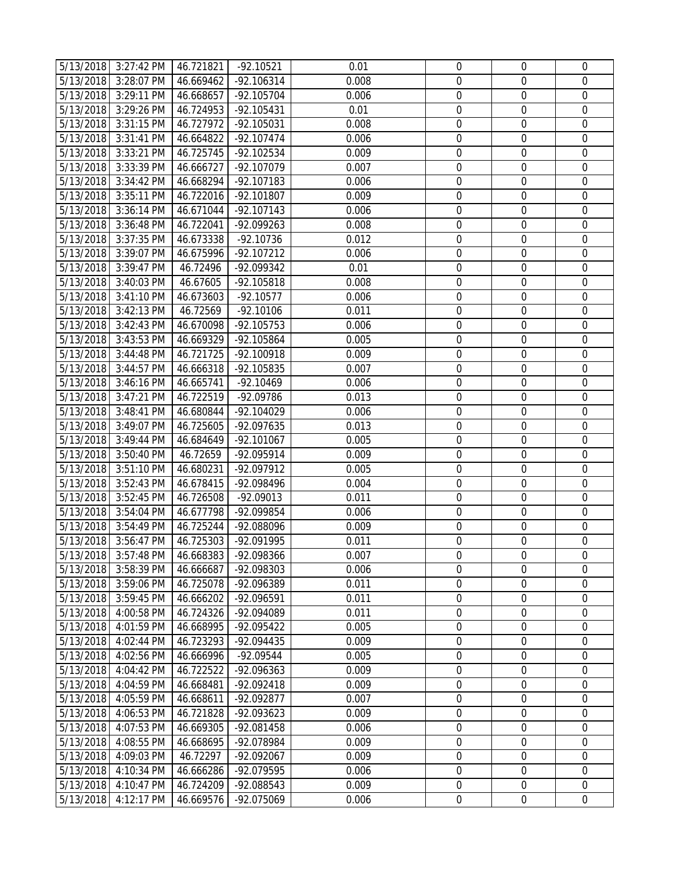| 5/13/2018              | 3:27:42 PM           | 46.721821              | $-92.10521$  | 0.01  | $\boldsymbol{0}$ | 0                | 0                |
|------------------------|----------------------|------------------------|--------------|-------|------------------|------------------|------------------|
| 5/13/2018              | 3:28:07 PM           | 46.669462              | -92.106314   | 0.008 | $\boldsymbol{0}$ | 0                | $\mathbf 0$      |
| 5/13/2018              | 3:29:11 PM           | 46.668657              | -92.105704   | 0.006 | $\boldsymbol{0}$ | $\mathbf 0$      | $\mathbf 0$      |
| 5/13/2018              | 3:29:26 PM           | 46.724953              | -92.105431   | 0.01  | $\boldsymbol{0}$ | 0                | $\mathbf 0$      |
| 5/13/2018              | 3:31:15 PM           | 46.727972              | -92.105031   | 0.008 | $\boldsymbol{0}$ | $\mathbf 0$      | $\mathbf 0$      |
| 5/13/2018              | 3:31:41 PM           | 46.664822              | -92.107474   | 0.006 | $\boldsymbol{0}$ | $\mathbf 0$      | $\boldsymbol{0}$ |
| 5/13/2018              | 3:33:21 PM           | 46.725745              | -92.102534   | 0.009 | $\boldsymbol{0}$ | $\boldsymbol{0}$ | $\mathbf 0$      |
| 5/13/2018              | 3:33:39 PM           | 46.666727              | -92.107079   | 0.007 | $\boldsymbol{0}$ | $\mathbf 0$      | $\mathbf 0$      |
| 5/13/2018              | 3:34:42 PM           | 46.668294              | -92.107183   | 0.006 | $\boldsymbol{0}$ | $\mathbf 0$      | $\mathbf 0$      |
| 5/13/2018              | 3:35:11 PM           | 46.722016              | -92.101807   | 0.009 | $\boldsymbol{0}$ | $\mathbf 0$      | $\mathbf 0$      |
| 5/13/2018              | 3:36:14 PM           | 46.671044              | $-92.107143$ | 0.006 | $\boldsymbol{0}$ | $\boldsymbol{0}$ | $\boldsymbol{0}$ |
| 5/13/2018              | 3:36:48 PM           | 46.722041              | -92.099263   | 0.008 | $\boldsymbol{0}$ | 0                | $\mathbf 0$      |
| 5/13/2018              | 3:37:35 PM           | 46.673338              | $-92.10736$  | 0.012 | $\boldsymbol{0}$ | $\boldsymbol{0}$ | $\mathbf 0$      |
| 5/13/2018              | 3:39:07 PM           | 46.675996              | $-92.107212$ | 0.006 | $\boldsymbol{0}$ | $\mathbf 0$      | $\mathbf 0$      |
| 5/13/2018              | 3:39:47 PM           | 46.72496               | -92.099342   | 0.01  | $\boldsymbol{0}$ | $\mathbf 0$      | $\mathbf 0$      |
| 5/13/2018              | 3:40:03 PM           | 46.67605               | -92.105818   | 0.008 | $\boldsymbol{0}$ | $\mathbf 0$      | $\mathbf 0$      |
| 5/13/2018              | 3:41:10 PM           | 46.673603              | $-92.10577$  | 0.006 | $\boldsymbol{0}$ | $\mathbf 0$      | $\boldsymbol{0}$ |
| 5/13/2018              | 3:42:13 PM           | 46.72569               | $-92.10106$  | 0.011 | $\boldsymbol{0}$ | $\boldsymbol{0}$ | $\mathbf 0$      |
| 5/13/2018              | 3:42:43 PM           | 46.670098              | -92.105753   | 0.006 | $\boldsymbol{0}$ | $\mathbf 0$      | $\mathbf 0$      |
| 5/13/2018              | 3:43:53 PM           | 46.669329              | -92.105864   | 0.005 | $\boldsymbol{0}$ | $\mathbf 0$      | $\mathbf 0$      |
| 5/13/2018              | 3:44:48 PM           | 46.721725              | -92.100918   | 0.009 | $\boldsymbol{0}$ | $\mathbf 0$      | $\mathbf 0$      |
| 5/13/2018              | 3:44:57 PM           | 46.666318              | -92.105835   | 0.007 | $\boldsymbol{0}$ | $\mathbf 0$      | $\mathbf 0$      |
| 5/13/2018              | 3:46:16 PM           | 46.665741              | $-92.10469$  | 0.006 | $\boldsymbol{0}$ | 0                | $\mathbf 0$      |
| 5/13/2018              | 3:47:21 PM           | 46.722519              | -92.09786    | 0.013 | $\boldsymbol{0}$ | 0                | $\mathbf 0$      |
| 5/13/2018              | 3:48:41 PM           | 46.680844              | -92.104029   | 0.006 | $\boldsymbol{0}$ | $\mathbf 0$      | $\mathbf 0$      |
| 5/13/2018              | 3:49:07 PM           | 46.725605              | -92.097635   | 0.013 | $\boldsymbol{0}$ | $\mathbf 0$      | $\mathbf 0$      |
| 5/13/2018              | 3:49:44 PM           | 46.684649              | -92.101067   | 0.005 | $\boldsymbol{0}$ | $\boldsymbol{0}$ | $\boldsymbol{0}$ |
| 5/13/2018              | 3:50:40 PM           | 46.72659               | -92.095914   | 0.009 | $\boldsymbol{0}$ | $\mathbf 0$      | $\boldsymbol{0}$ |
|                        | 3:51:10 PM           |                        | -92.097912   | 0.005 | $\boldsymbol{0}$ | $\boldsymbol{0}$ | $\mathbf 0$      |
| 5/13/2018<br>5/13/2018 | 3:52:43 PM           | 46.680231<br>46.678415 | -92.098496   | 0.004 | $\boldsymbol{0}$ | $\mathbf 0$      | $\mathbf 0$      |
| 5/13/2018              | 3:52:45 PM           | 46.726508              | $-92.09013$  | 0.011 | $\boldsymbol{0}$ | $\mathbf 0$      | 0                |
| 5/13/2018              | 3:54:04 PM           | 46.677798              | -92.099854   | 0.006 | $\boldsymbol{0}$ | $\mathbf 0$      | $\mathbf 0$      |
| 5/13/2018              | 3:54:49 PM           | 46.725244              | -92.088096   | 0.009 | $\boldsymbol{0}$ | $\mathbf 0$      | $\boldsymbol{0}$ |
| 5/13/2018              | 3:56:47 PM           | 46.725303              | -92.091995   | 0.011 | $\boldsymbol{0}$ | $\mathbf 0$      | $\mathbf 0$      |
|                        | 5/13/2018 3:57:48 PM | 46.668383              | -92.098366   | 0.007 | 0                | 0                | 0                |
| 5/13/2018              | 3:58:39 PM           | 46.666687              | -92.098303   | 0.006 | 0                | $\Omega$         | 0                |
| 5/13/2018              | 3:59:06 PM           | 46.725078              | -92.096389   | 0.011 | $\mathbf 0$      | $\mathbf 0$      | 0                |
| 5/13/2018              | 3:59:45 PM           | 46.666202              | -92.096591   | 0.011 | $\boldsymbol{0}$ | $\boldsymbol{0}$ | 0                |
| 5/13/2018              | 4:00:58 PM           | 46.724326              | -92.094089   | 0.011 | $\boldsymbol{0}$ | 0                | 0                |
| 5/13/2018              | 4:01:59 PM           | 46.668995              | -92.095422   | 0.005 | $\boldsymbol{0}$ | 0                | 0                |
| 5/13/2018              | 4:02:44 PM           | 46.723293              | -92.094435   | 0.009 | $\mathbf 0$      | $\mathbf 0$      | $\mathbf 0$      |
| 5/13/2018              | 4:02:56 PM           | 46.666996              | -92.09544    | 0.005 | $\boldsymbol{0}$ | 0                | 0                |
| 5/13/2018              | 4:04:42 PM           | 46.722522              | -92.096363   | 0.009 | $\boldsymbol{0}$ | 0                | 0                |
| 5/13/2018              | 4:04:59 PM           | 46.668481              | -92.092418   | 0.009 | $\boldsymbol{0}$ | $\mathbf 0$      | $\mathbf 0$      |
| 5/13/2018              | 4:05:59 PM           | 46.668611              | -92.092877   | 0.007 | 0                | 0                | $\boldsymbol{0}$ |
| 5/13/2018              | 4:06:53 PM           | 46.721828              | -92.093623   | 0.009 | $\boldsymbol{0}$ | $\boldsymbol{0}$ | $\mathbf 0$      |
| 5/13/2018              | 4:07:53 PM           | 46.669305              | -92.081458   | 0.006 | $\boldsymbol{0}$ | $\mathbf 0$      | 0                |
| 5/13/2018              | 4:08:55 PM           | 46.668695              | -92.078984   | 0.009 | $\boldsymbol{0}$ | 0                | 0                |
| 5/13/2018              | 4:09:03 PM           | 46.72297               | -92.092067   | 0.009 | $\boldsymbol{0}$ | $\mathbf 0$      | 0                |
| 5/13/2018              | 4:10:34 PM           | 46.666286              | -92.079595   | 0.006 | $\boldsymbol{0}$ | 0                | 0                |
| 5/13/2018              | 4:10:47 PM           | 46.724209              | -92.088543   | 0.009 | $\boldsymbol{0}$ | 0                | 0                |
| 5/13/2018              | 4:12:17 PM           | 46.669576              | -92.075069   | 0.006 | $\boldsymbol{0}$ | $\boldsymbol{0}$ | $\mathbf 0$      |
|                        |                      |                        |              |       |                  |                  |                  |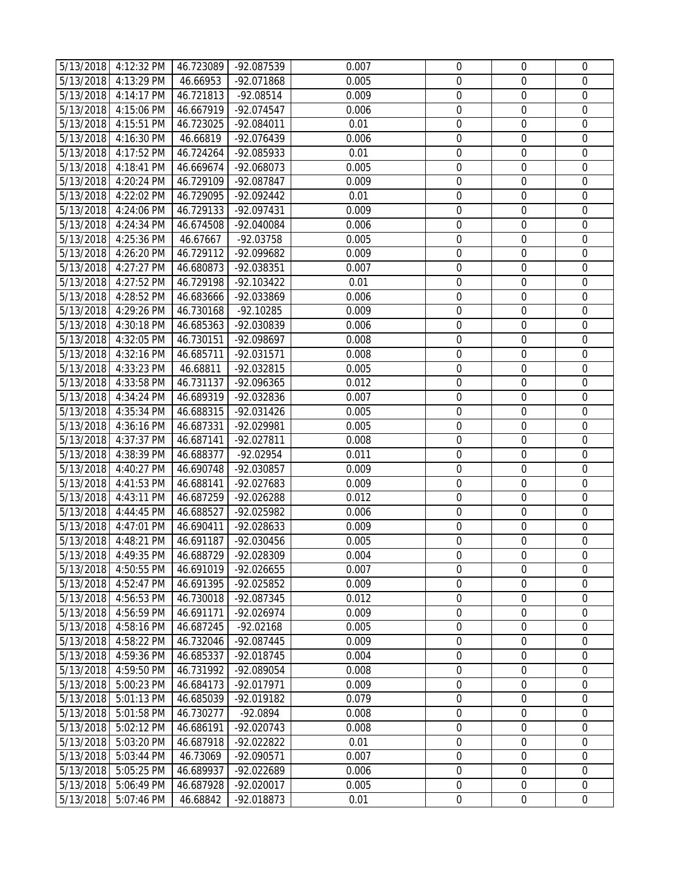| 5/13/2018 4:12:32 PM<br>0.007<br>4:13:29 PM<br>$\mathbf 0$<br>5/13/2018<br>46.66953<br>-92.071868<br>0.005<br>$\boldsymbol{0}$<br>0<br>$\mathbf 0$<br>5/13/2018<br>4:14:17 PM<br>46.721813<br>$-92.08514$<br>0.009<br>$\boldsymbol{0}$<br>$\mathbf 0$<br>4:15:06 PM<br>46.667919<br>0.006<br>$\boldsymbol{0}$<br>$\mathbf 0$<br>$\mathbf 0$<br>5/13/2018<br>-92.074547<br>$\boldsymbol{0}$<br>$\mathbf 0$<br>$\mathbf 0$<br>5/13/2018<br>4:15:51 PM<br>46.723025<br>0.01<br>-92.084011<br>5/13/2018<br>4:16:30 PM<br>-92.076439<br>$\boldsymbol{0}$<br>$\mathbf 0$<br>$\boldsymbol{0}$<br>46.66819<br>0.006<br>4:17:52 PM<br>$\boldsymbol{0}$<br>$\boldsymbol{0}$<br>$\mathbf 0$<br>5/13/2018<br>46.724264<br>-92.085933<br>0.01<br>$\boldsymbol{0}$<br>$\mathbf 0$<br>$\mathbf 0$<br>5/13/2018<br>4:18:41 PM<br>46.669674<br>-92.068073<br>0.005<br>5/13/2018<br>4:20:24 PM<br>46.729109<br>0.009<br>$\boldsymbol{0}$<br>$\mathbf 0$<br>$\mathbf 0$<br>-92.087847<br>$\boldsymbol{0}$<br>$\mathbf 0$<br>5/13/2018<br>4:22:02 PM<br>0.01<br>$\mathbf 0$<br>46.729095<br>-92.092442<br>$\boldsymbol{0}$<br>5/13/2018<br>4:24:06 PM<br>46.729133<br>0.009<br>$\boldsymbol{0}$<br>$\boldsymbol{0}$<br>-92.097431<br>5/13/2018<br>$\boldsymbol{0}$<br>0<br>$\mathbf 0$<br>4:24:34 PM<br>46.674508<br>-92.040084<br>0.006<br>5/13/2018<br>4:25:36 PM<br>46.67667<br>$-92.03758$<br>0.005<br>$\boldsymbol{0}$<br>$\mathbf 0$<br>$\boldsymbol{0}$<br>5/13/2018<br>$\mathbf 0$<br>4:26:20 PM<br>46.729112<br>-92.099682<br>0.009<br>$\boldsymbol{0}$<br>$\mathbf 0$<br>5/13/2018<br>4:27:27 PM<br>46.680873<br>-92.038351<br>0.007<br>$\boldsymbol{0}$<br>$\mathbf 0$<br>$\overline{0}$<br>$\mathbf 0$<br>5/13/2018<br>4:27:52 PM<br>46.729198<br>$\boldsymbol{0}$<br>$\mathbf 0$<br>-92.103422<br>0.01<br>5/13/2018<br>4:28:52 PM<br>46.683666<br>$\boldsymbol{0}$<br>$\mathbf 0$<br>$\boldsymbol{0}$<br>-92.033869<br>0.006<br>$\boldsymbol{0}$<br>$\boldsymbol{0}$<br>$\mathbf 0$<br>5/13/2018<br>4:29:26 PM<br>46.730168<br>$-92.10285$<br>0.009<br>$\boldsymbol{0}$<br>4:30:18 PM<br>$\mathbf 0$<br>$\mathbf 0$<br>5/13/2018<br>46.685363<br>-92.030839<br>0.006<br>$\mathbf 0$<br>5/13/2018<br>4:32:05 PM<br>46.730151<br>0.008<br>$\boldsymbol{0}$<br>$\mathbf 0$<br>-92.098697<br>$\boldsymbol{0}$<br>5/13/2018<br>-92.031571<br>0.008<br>$\boldsymbol{0}$<br>$\mathbf 0$<br>4:32:16 PM<br>46.685711<br>$\mathbf 0$<br>5/13/2018<br>4:33:23 PM<br>0.005<br>$\boldsymbol{0}$<br>$\mathbf 0$<br>46.68811<br>-92.032815<br>5/13/2018<br>4:33:58 PM<br>46.731137<br>0.012<br>$\boldsymbol{0}$<br>$\mathbf 0$<br>$\mathbf 0$<br>-92.096365<br>5/13/2018<br>4:34:24 PM<br>46.689319<br>-92.032836<br>0.007<br>$\boldsymbol{0}$<br>$\mathbf 0$<br>0<br>$\mathbf 0$<br>5/13/2018<br>4:35:34 PM<br>46.688315<br>-92.031426<br>0.005<br>$\boldsymbol{0}$<br>$\mathbf 0$<br>5/13/2018<br>46.687331<br>0.005<br>$\boldsymbol{0}$<br>$\mathbf 0$<br>$\mathbf 0$<br>4:36:16 PM<br>-92.029981<br>0.008<br>$\boldsymbol{0}$<br>$\boldsymbol{0}$<br>$\boldsymbol{0}$<br>5/13/2018<br>4:37:37 PM<br>46.687141<br>-92.027811<br>5/13/2018<br>4:38:39 PM<br>46.688377<br>$\boldsymbol{0}$<br>$\mathbf 0$<br>$\boldsymbol{0}$<br>-92.02954<br>0.011<br>$\boldsymbol{0}$<br>$\boldsymbol{0}$<br>$\mathbf 0$<br>5/13/2018<br>4:40:27 PM<br>46.690748<br>-92.030857<br>0.009<br>$\boldsymbol{0}$<br>$\mathbf 0$<br>$\mathbf 0$<br>5/13/2018<br>4:41:53 PM<br>46.688141<br>-92.027683<br>0.009<br>5/13/2018<br>$\boldsymbol{0}$<br>$\mathbf 0$<br>0<br>4:43:11 PM<br>46.687259<br>-92.026288<br>0.012<br>$\boldsymbol{0}$<br>$\mathbf 0$<br>$\mathbf 0$<br>5/13/2018<br>4:44:45 PM<br>46.688527<br>-92.025982<br>0.006<br>$\mathbf 0$<br>4:47:01 PM<br>46.690411<br>0.009<br>$\boldsymbol{0}$<br>$\boldsymbol{0}$<br>5/13/2018<br>-92.028633<br>$\boldsymbol{0}$<br>$\mathbf 0$<br>$\mathbf 0$<br>5/13/2018<br>46.691187<br>0.005<br>4:48:21 PM<br>-92.030456<br>5/13/2018<br>4:49:35 PM<br>46.688729<br>-92.028309<br>0.004<br>0<br>0<br>0<br>4:50:55 PM<br>0<br>$\Omega$<br>0<br>5/13/2018<br>46.691019<br>-92.026655<br>0.007<br>$\boldsymbol{0}$<br>0<br>$\mathbf 0$<br>5/13/2018<br>4:52:47 PM<br>46.691395<br>-92.025852<br>0.009<br>0.012<br>$\boldsymbol{0}$<br>$\boldsymbol{0}$<br>0<br>5/13/2018<br>4:56:53 PM<br>46.730018<br>-92.087345<br>0.009<br>$\boldsymbol{0}$<br>0<br>0<br>5/13/2018<br>4:56:59 PM<br>46.691171<br>-92.026974<br>$\boldsymbol{0}$<br>5/13/2018<br>4:58:16 PM<br>46.687245<br>$-92.02168$<br>0.005<br>0<br>0<br>$\mathbf 0$<br>5/13/2018<br>46.732046<br>-92.087445<br>0.009<br>$\mathbf 0$<br>$\mathbf 0$<br>4:58:22 PM<br>5/13/2018<br>4:59:36 PM<br>46.685337<br>-92.018745<br>0.004<br>$\boldsymbol{0}$<br>0<br>0<br>$\boldsymbol{0}$<br>0<br>5/13/2018<br>4:59:50 PM<br>46.731992<br>-92.089054<br>0.008<br>0<br>$\boldsymbol{0}$<br>$\mathbf 0$<br>$\mathbf 0$<br>5/13/2018<br>5:00:23 PM<br>46.684173<br>-92.017971<br>0.009<br>0<br>$\boldsymbol{0}$<br>$\boldsymbol{0}$<br>5/13/2018<br>5:01:13 PM<br>46.685039<br>-92.019182<br>0.079<br>5:01:58 PM<br>$\boldsymbol{0}$<br>$\boldsymbol{0}$<br>$\mathbf 0$<br>5/13/2018<br>46.730277<br>$-92.0894$<br>0.008<br>5/13/2018<br>5:02:12 PM<br>$\boldsymbol{0}$<br>$\mathbf 0$<br>0<br>46.686191<br>-92.020743<br>0.008<br>$\boldsymbol{0}$<br>0<br>0.01<br>$\mathbf 0$<br>5/13/2018<br>5:03:20 PM<br>46.687918<br>-92.022822<br>5:03:44 PM<br>0.007<br>$\boldsymbol{0}$<br>$\mathbf 0$<br>$\mathbf 0$<br>5/13/2018<br>46.73069<br>-92.090571<br>5/13/2018<br>$\boldsymbol{0}$<br>0<br>0<br>5:05:25 PM<br>46.689937<br>-92.022689<br>0.006<br>0.005<br>$\boldsymbol{0}$<br>0<br>0<br>5/13/2018<br>5:06:49 PM<br>46.687928<br>-92.020017<br>$\boldsymbol{0}$<br>5/13/2018<br>5:07:46 PM<br>-92.018873<br>0.01<br>$\boldsymbol{0}$<br>$\mathbf 0$<br>46.68842 |  | 46.723089 | -92.087539 | $\boldsymbol{0}$ | 0 | 0 |
|---------------------------------------------------------------------------------------------------------------------------------------------------------------------------------------------------------------------------------------------------------------------------------------------------------------------------------------------------------------------------------------------------------------------------------------------------------------------------------------------------------------------------------------------------------------------------------------------------------------------------------------------------------------------------------------------------------------------------------------------------------------------------------------------------------------------------------------------------------------------------------------------------------------------------------------------------------------------------------------------------------------------------------------------------------------------------------------------------------------------------------------------------------------------------------------------------------------------------------------------------------------------------------------------------------------------------------------------------------------------------------------------------------------------------------------------------------------------------------------------------------------------------------------------------------------------------------------------------------------------------------------------------------------------------------------------------------------------------------------------------------------------------------------------------------------------------------------------------------------------------------------------------------------------------------------------------------------------------------------------------------------------------------------------------------------------------------------------------------------------------------------------------------------------------------------------------------------------------------------------------------------------------------------------------------------------------------------------------------------------------------------------------------------------------------------------------------------------------------------------------------------------------------------------------------------------------------------------------------------------------------------------------------------------------------------------------------------------------------------------------------------------------------------------------------------------------------------------------------------------------------------------------------------------------------------------------------------------------------------------------------------------------------------------------------------------------------------------------------------------------------------------------------------------------------------------------------------------------------------------------------------------------------------------------------------------------------------------------------------------------------------------------------------------------------------------------------------------------------------------------------------------------------------------------------------------------------------------------------------------------------------------------------------------------------------------------------------------------------------------------------------------------------------------------------------------------------------------------------------------------------------------------------------------------------------------------------------------------------------------------------------------------------------------------------------------------------------------------------------------------------------------------------------------------------------------------------------------------------------------------------------------------------------------------------------------------------------------------------------------------------------------------------------------------------------------------------------------------------------------------------------------------------------------------------------------------------------------------------------------------------------------------------------------------------------------------------------------------------------------------------------------------------------------------------------------------------------------------------------------------------------------------------------------------------------------------------------------------------------------------------------------------------------------------------------------------------------------------------------------------------------------------------------------------------------------------------------------------------------------------------------------------------------------------------------------------------------------------------------------------------------------------------------------------------------------------------------------------------------------------------------------------------------------------------------------------------------------------------------------------------------------------------------------------------------------------------------------------------------------------------------------------------------------------------------------------|--|-----------|------------|------------------|---|---|
|                                                                                                                                                                                                                                                                                                                                                                                                                                                                                                                                                                                                                                                                                                                                                                                                                                                                                                                                                                                                                                                                                                                                                                                                                                                                                                                                                                                                                                                                                                                                                                                                                                                                                                                                                                                                                                                                                                                                                                                                                                                                                                                                                                                                                                                                                                                                                                                                                                                                                                                                                                                                                                                                                                                                                                                                                                                                                                                                                                                                                                                                                                                                                                                                                                                                                                                                                                                                                                                                                                                                                                                                                                                                                                                                                                                                                                                                                                                                                                                                                                                                                                                                                                                                                                                                                                                                                                                                                                                                                                                                                                                                                                                                                                                                                                                                                                                                                                                                                                                                                                                                                                                                                                                                                                                                                                                                                                                                                                                                                                                                                                                                                                                                                                                                                                                                                           |  |           |            |                  |   |   |
|                                                                                                                                                                                                                                                                                                                                                                                                                                                                                                                                                                                                                                                                                                                                                                                                                                                                                                                                                                                                                                                                                                                                                                                                                                                                                                                                                                                                                                                                                                                                                                                                                                                                                                                                                                                                                                                                                                                                                                                                                                                                                                                                                                                                                                                                                                                                                                                                                                                                                                                                                                                                                                                                                                                                                                                                                                                                                                                                                                                                                                                                                                                                                                                                                                                                                                                                                                                                                                                                                                                                                                                                                                                                                                                                                                                                                                                                                                                                                                                                                                                                                                                                                                                                                                                                                                                                                                                                                                                                                                                                                                                                                                                                                                                                                                                                                                                                                                                                                                                                                                                                                                                                                                                                                                                                                                                                                                                                                                                                                                                                                                                                                                                                                                                                                                                                                           |  |           |            |                  |   |   |
|                                                                                                                                                                                                                                                                                                                                                                                                                                                                                                                                                                                                                                                                                                                                                                                                                                                                                                                                                                                                                                                                                                                                                                                                                                                                                                                                                                                                                                                                                                                                                                                                                                                                                                                                                                                                                                                                                                                                                                                                                                                                                                                                                                                                                                                                                                                                                                                                                                                                                                                                                                                                                                                                                                                                                                                                                                                                                                                                                                                                                                                                                                                                                                                                                                                                                                                                                                                                                                                                                                                                                                                                                                                                                                                                                                                                                                                                                                                                                                                                                                                                                                                                                                                                                                                                                                                                                                                                                                                                                                                                                                                                                                                                                                                                                                                                                                                                                                                                                                                                                                                                                                                                                                                                                                                                                                                                                                                                                                                                                                                                                                                                                                                                                                                                                                                                                           |  |           |            |                  |   |   |
|                                                                                                                                                                                                                                                                                                                                                                                                                                                                                                                                                                                                                                                                                                                                                                                                                                                                                                                                                                                                                                                                                                                                                                                                                                                                                                                                                                                                                                                                                                                                                                                                                                                                                                                                                                                                                                                                                                                                                                                                                                                                                                                                                                                                                                                                                                                                                                                                                                                                                                                                                                                                                                                                                                                                                                                                                                                                                                                                                                                                                                                                                                                                                                                                                                                                                                                                                                                                                                                                                                                                                                                                                                                                                                                                                                                                                                                                                                                                                                                                                                                                                                                                                                                                                                                                                                                                                                                                                                                                                                                                                                                                                                                                                                                                                                                                                                                                                                                                                                                                                                                                                                                                                                                                                                                                                                                                                                                                                                                                                                                                                                                                                                                                                                                                                                                                                           |  |           |            |                  |   |   |
|                                                                                                                                                                                                                                                                                                                                                                                                                                                                                                                                                                                                                                                                                                                                                                                                                                                                                                                                                                                                                                                                                                                                                                                                                                                                                                                                                                                                                                                                                                                                                                                                                                                                                                                                                                                                                                                                                                                                                                                                                                                                                                                                                                                                                                                                                                                                                                                                                                                                                                                                                                                                                                                                                                                                                                                                                                                                                                                                                                                                                                                                                                                                                                                                                                                                                                                                                                                                                                                                                                                                                                                                                                                                                                                                                                                                                                                                                                                                                                                                                                                                                                                                                                                                                                                                                                                                                                                                                                                                                                                                                                                                                                                                                                                                                                                                                                                                                                                                                                                                                                                                                                                                                                                                                                                                                                                                                                                                                                                                                                                                                                                                                                                                                                                                                                                                                           |  |           |            |                  |   |   |
|                                                                                                                                                                                                                                                                                                                                                                                                                                                                                                                                                                                                                                                                                                                                                                                                                                                                                                                                                                                                                                                                                                                                                                                                                                                                                                                                                                                                                                                                                                                                                                                                                                                                                                                                                                                                                                                                                                                                                                                                                                                                                                                                                                                                                                                                                                                                                                                                                                                                                                                                                                                                                                                                                                                                                                                                                                                                                                                                                                                                                                                                                                                                                                                                                                                                                                                                                                                                                                                                                                                                                                                                                                                                                                                                                                                                                                                                                                                                                                                                                                                                                                                                                                                                                                                                                                                                                                                                                                                                                                                                                                                                                                                                                                                                                                                                                                                                                                                                                                                                                                                                                                                                                                                                                                                                                                                                                                                                                                                                                                                                                                                                                                                                                                                                                                                                                           |  |           |            |                  |   |   |
|                                                                                                                                                                                                                                                                                                                                                                                                                                                                                                                                                                                                                                                                                                                                                                                                                                                                                                                                                                                                                                                                                                                                                                                                                                                                                                                                                                                                                                                                                                                                                                                                                                                                                                                                                                                                                                                                                                                                                                                                                                                                                                                                                                                                                                                                                                                                                                                                                                                                                                                                                                                                                                                                                                                                                                                                                                                                                                                                                                                                                                                                                                                                                                                                                                                                                                                                                                                                                                                                                                                                                                                                                                                                                                                                                                                                                                                                                                                                                                                                                                                                                                                                                                                                                                                                                                                                                                                                                                                                                                                                                                                                                                                                                                                                                                                                                                                                                                                                                                                                                                                                                                                                                                                                                                                                                                                                                                                                                                                                                                                                                                                                                                                                                                                                                                                                                           |  |           |            |                  |   |   |
|                                                                                                                                                                                                                                                                                                                                                                                                                                                                                                                                                                                                                                                                                                                                                                                                                                                                                                                                                                                                                                                                                                                                                                                                                                                                                                                                                                                                                                                                                                                                                                                                                                                                                                                                                                                                                                                                                                                                                                                                                                                                                                                                                                                                                                                                                                                                                                                                                                                                                                                                                                                                                                                                                                                                                                                                                                                                                                                                                                                                                                                                                                                                                                                                                                                                                                                                                                                                                                                                                                                                                                                                                                                                                                                                                                                                                                                                                                                                                                                                                                                                                                                                                                                                                                                                                                                                                                                                                                                                                                                                                                                                                                                                                                                                                                                                                                                                                                                                                                                                                                                                                                                                                                                                                                                                                                                                                                                                                                                                                                                                                                                                                                                                                                                                                                                                                           |  |           |            |                  |   |   |
|                                                                                                                                                                                                                                                                                                                                                                                                                                                                                                                                                                                                                                                                                                                                                                                                                                                                                                                                                                                                                                                                                                                                                                                                                                                                                                                                                                                                                                                                                                                                                                                                                                                                                                                                                                                                                                                                                                                                                                                                                                                                                                                                                                                                                                                                                                                                                                                                                                                                                                                                                                                                                                                                                                                                                                                                                                                                                                                                                                                                                                                                                                                                                                                                                                                                                                                                                                                                                                                                                                                                                                                                                                                                                                                                                                                                                                                                                                                                                                                                                                                                                                                                                                                                                                                                                                                                                                                                                                                                                                                                                                                                                                                                                                                                                                                                                                                                                                                                                                                                                                                                                                                                                                                                                                                                                                                                                                                                                                                                                                                                                                                                                                                                                                                                                                                                                           |  |           |            |                  |   |   |
|                                                                                                                                                                                                                                                                                                                                                                                                                                                                                                                                                                                                                                                                                                                                                                                                                                                                                                                                                                                                                                                                                                                                                                                                                                                                                                                                                                                                                                                                                                                                                                                                                                                                                                                                                                                                                                                                                                                                                                                                                                                                                                                                                                                                                                                                                                                                                                                                                                                                                                                                                                                                                                                                                                                                                                                                                                                                                                                                                                                                                                                                                                                                                                                                                                                                                                                                                                                                                                                                                                                                                                                                                                                                                                                                                                                                                                                                                                                                                                                                                                                                                                                                                                                                                                                                                                                                                                                                                                                                                                                                                                                                                                                                                                                                                                                                                                                                                                                                                                                                                                                                                                                                                                                                                                                                                                                                                                                                                                                                                                                                                                                                                                                                                                                                                                                                                           |  |           |            |                  |   |   |
|                                                                                                                                                                                                                                                                                                                                                                                                                                                                                                                                                                                                                                                                                                                                                                                                                                                                                                                                                                                                                                                                                                                                                                                                                                                                                                                                                                                                                                                                                                                                                                                                                                                                                                                                                                                                                                                                                                                                                                                                                                                                                                                                                                                                                                                                                                                                                                                                                                                                                                                                                                                                                                                                                                                                                                                                                                                                                                                                                                                                                                                                                                                                                                                                                                                                                                                                                                                                                                                                                                                                                                                                                                                                                                                                                                                                                                                                                                                                                                                                                                                                                                                                                                                                                                                                                                                                                                                                                                                                                                                                                                                                                                                                                                                                                                                                                                                                                                                                                                                                                                                                                                                                                                                                                                                                                                                                                                                                                                                                                                                                                                                                                                                                                                                                                                                                                           |  |           |            |                  |   |   |
|                                                                                                                                                                                                                                                                                                                                                                                                                                                                                                                                                                                                                                                                                                                                                                                                                                                                                                                                                                                                                                                                                                                                                                                                                                                                                                                                                                                                                                                                                                                                                                                                                                                                                                                                                                                                                                                                                                                                                                                                                                                                                                                                                                                                                                                                                                                                                                                                                                                                                                                                                                                                                                                                                                                                                                                                                                                                                                                                                                                                                                                                                                                                                                                                                                                                                                                                                                                                                                                                                                                                                                                                                                                                                                                                                                                                                                                                                                                                                                                                                                                                                                                                                                                                                                                                                                                                                                                                                                                                                                                                                                                                                                                                                                                                                                                                                                                                                                                                                                                                                                                                                                                                                                                                                                                                                                                                                                                                                                                                                                                                                                                                                                                                                                                                                                                                                           |  |           |            |                  |   |   |
|                                                                                                                                                                                                                                                                                                                                                                                                                                                                                                                                                                                                                                                                                                                                                                                                                                                                                                                                                                                                                                                                                                                                                                                                                                                                                                                                                                                                                                                                                                                                                                                                                                                                                                                                                                                                                                                                                                                                                                                                                                                                                                                                                                                                                                                                                                                                                                                                                                                                                                                                                                                                                                                                                                                                                                                                                                                                                                                                                                                                                                                                                                                                                                                                                                                                                                                                                                                                                                                                                                                                                                                                                                                                                                                                                                                                                                                                                                                                                                                                                                                                                                                                                                                                                                                                                                                                                                                                                                                                                                                                                                                                                                                                                                                                                                                                                                                                                                                                                                                                                                                                                                                                                                                                                                                                                                                                                                                                                                                                                                                                                                                                                                                                                                                                                                                                                           |  |           |            |                  |   |   |
|                                                                                                                                                                                                                                                                                                                                                                                                                                                                                                                                                                                                                                                                                                                                                                                                                                                                                                                                                                                                                                                                                                                                                                                                                                                                                                                                                                                                                                                                                                                                                                                                                                                                                                                                                                                                                                                                                                                                                                                                                                                                                                                                                                                                                                                                                                                                                                                                                                                                                                                                                                                                                                                                                                                                                                                                                                                                                                                                                                                                                                                                                                                                                                                                                                                                                                                                                                                                                                                                                                                                                                                                                                                                                                                                                                                                                                                                                                                                                                                                                                                                                                                                                                                                                                                                                                                                                                                                                                                                                                                                                                                                                                                                                                                                                                                                                                                                                                                                                                                                                                                                                                                                                                                                                                                                                                                                                                                                                                                                                                                                                                                                                                                                                                                                                                                                                           |  |           |            |                  |   |   |
|                                                                                                                                                                                                                                                                                                                                                                                                                                                                                                                                                                                                                                                                                                                                                                                                                                                                                                                                                                                                                                                                                                                                                                                                                                                                                                                                                                                                                                                                                                                                                                                                                                                                                                                                                                                                                                                                                                                                                                                                                                                                                                                                                                                                                                                                                                                                                                                                                                                                                                                                                                                                                                                                                                                                                                                                                                                                                                                                                                                                                                                                                                                                                                                                                                                                                                                                                                                                                                                                                                                                                                                                                                                                                                                                                                                                                                                                                                                                                                                                                                                                                                                                                                                                                                                                                                                                                                                                                                                                                                                                                                                                                                                                                                                                                                                                                                                                                                                                                                                                                                                                                                                                                                                                                                                                                                                                                                                                                                                                                                                                                                                                                                                                                                                                                                                                                           |  |           |            |                  |   |   |
|                                                                                                                                                                                                                                                                                                                                                                                                                                                                                                                                                                                                                                                                                                                                                                                                                                                                                                                                                                                                                                                                                                                                                                                                                                                                                                                                                                                                                                                                                                                                                                                                                                                                                                                                                                                                                                                                                                                                                                                                                                                                                                                                                                                                                                                                                                                                                                                                                                                                                                                                                                                                                                                                                                                                                                                                                                                                                                                                                                                                                                                                                                                                                                                                                                                                                                                                                                                                                                                                                                                                                                                                                                                                                                                                                                                                                                                                                                                                                                                                                                                                                                                                                                                                                                                                                                                                                                                                                                                                                                                                                                                                                                                                                                                                                                                                                                                                                                                                                                                                                                                                                                                                                                                                                                                                                                                                                                                                                                                                                                                                                                                                                                                                                                                                                                                                                           |  |           |            |                  |   |   |
|                                                                                                                                                                                                                                                                                                                                                                                                                                                                                                                                                                                                                                                                                                                                                                                                                                                                                                                                                                                                                                                                                                                                                                                                                                                                                                                                                                                                                                                                                                                                                                                                                                                                                                                                                                                                                                                                                                                                                                                                                                                                                                                                                                                                                                                                                                                                                                                                                                                                                                                                                                                                                                                                                                                                                                                                                                                                                                                                                                                                                                                                                                                                                                                                                                                                                                                                                                                                                                                                                                                                                                                                                                                                                                                                                                                                                                                                                                                                                                                                                                                                                                                                                                                                                                                                                                                                                                                                                                                                                                                                                                                                                                                                                                                                                                                                                                                                                                                                                                                                                                                                                                                                                                                                                                                                                                                                                                                                                                                                                                                                                                                                                                                                                                                                                                                                                           |  |           |            |                  |   |   |
|                                                                                                                                                                                                                                                                                                                                                                                                                                                                                                                                                                                                                                                                                                                                                                                                                                                                                                                                                                                                                                                                                                                                                                                                                                                                                                                                                                                                                                                                                                                                                                                                                                                                                                                                                                                                                                                                                                                                                                                                                                                                                                                                                                                                                                                                                                                                                                                                                                                                                                                                                                                                                                                                                                                                                                                                                                                                                                                                                                                                                                                                                                                                                                                                                                                                                                                                                                                                                                                                                                                                                                                                                                                                                                                                                                                                                                                                                                                                                                                                                                                                                                                                                                                                                                                                                                                                                                                                                                                                                                                                                                                                                                                                                                                                                                                                                                                                                                                                                                                                                                                                                                                                                                                                                                                                                                                                                                                                                                                                                                                                                                                                                                                                                                                                                                                                                           |  |           |            |                  |   |   |
|                                                                                                                                                                                                                                                                                                                                                                                                                                                                                                                                                                                                                                                                                                                                                                                                                                                                                                                                                                                                                                                                                                                                                                                                                                                                                                                                                                                                                                                                                                                                                                                                                                                                                                                                                                                                                                                                                                                                                                                                                                                                                                                                                                                                                                                                                                                                                                                                                                                                                                                                                                                                                                                                                                                                                                                                                                                                                                                                                                                                                                                                                                                                                                                                                                                                                                                                                                                                                                                                                                                                                                                                                                                                                                                                                                                                                                                                                                                                                                                                                                                                                                                                                                                                                                                                                                                                                                                                                                                                                                                                                                                                                                                                                                                                                                                                                                                                                                                                                                                                                                                                                                                                                                                                                                                                                                                                                                                                                                                                                                                                                                                                                                                                                                                                                                                                                           |  |           |            |                  |   |   |
|                                                                                                                                                                                                                                                                                                                                                                                                                                                                                                                                                                                                                                                                                                                                                                                                                                                                                                                                                                                                                                                                                                                                                                                                                                                                                                                                                                                                                                                                                                                                                                                                                                                                                                                                                                                                                                                                                                                                                                                                                                                                                                                                                                                                                                                                                                                                                                                                                                                                                                                                                                                                                                                                                                                                                                                                                                                                                                                                                                                                                                                                                                                                                                                                                                                                                                                                                                                                                                                                                                                                                                                                                                                                                                                                                                                                                                                                                                                                                                                                                                                                                                                                                                                                                                                                                                                                                                                                                                                                                                                                                                                                                                                                                                                                                                                                                                                                                                                                                                                                                                                                                                                                                                                                                                                                                                                                                                                                                                                                                                                                                                                                                                                                                                                                                                                                                           |  |           |            |                  |   |   |
|                                                                                                                                                                                                                                                                                                                                                                                                                                                                                                                                                                                                                                                                                                                                                                                                                                                                                                                                                                                                                                                                                                                                                                                                                                                                                                                                                                                                                                                                                                                                                                                                                                                                                                                                                                                                                                                                                                                                                                                                                                                                                                                                                                                                                                                                                                                                                                                                                                                                                                                                                                                                                                                                                                                                                                                                                                                                                                                                                                                                                                                                                                                                                                                                                                                                                                                                                                                                                                                                                                                                                                                                                                                                                                                                                                                                                                                                                                                                                                                                                                                                                                                                                                                                                                                                                                                                                                                                                                                                                                                                                                                                                                                                                                                                                                                                                                                                                                                                                                                                                                                                                                                                                                                                                                                                                                                                                                                                                                                                                                                                                                                                                                                                                                                                                                                                                           |  |           |            |                  |   |   |
|                                                                                                                                                                                                                                                                                                                                                                                                                                                                                                                                                                                                                                                                                                                                                                                                                                                                                                                                                                                                                                                                                                                                                                                                                                                                                                                                                                                                                                                                                                                                                                                                                                                                                                                                                                                                                                                                                                                                                                                                                                                                                                                                                                                                                                                                                                                                                                                                                                                                                                                                                                                                                                                                                                                                                                                                                                                                                                                                                                                                                                                                                                                                                                                                                                                                                                                                                                                                                                                                                                                                                                                                                                                                                                                                                                                                                                                                                                                                                                                                                                                                                                                                                                                                                                                                                                                                                                                                                                                                                                                                                                                                                                                                                                                                                                                                                                                                                                                                                                                                                                                                                                                                                                                                                                                                                                                                                                                                                                                                                                                                                                                                                                                                                                                                                                                                                           |  |           |            |                  |   |   |
|                                                                                                                                                                                                                                                                                                                                                                                                                                                                                                                                                                                                                                                                                                                                                                                                                                                                                                                                                                                                                                                                                                                                                                                                                                                                                                                                                                                                                                                                                                                                                                                                                                                                                                                                                                                                                                                                                                                                                                                                                                                                                                                                                                                                                                                                                                                                                                                                                                                                                                                                                                                                                                                                                                                                                                                                                                                                                                                                                                                                                                                                                                                                                                                                                                                                                                                                                                                                                                                                                                                                                                                                                                                                                                                                                                                                                                                                                                                                                                                                                                                                                                                                                                                                                                                                                                                                                                                                                                                                                                                                                                                                                                                                                                                                                                                                                                                                                                                                                                                                                                                                                                                                                                                                                                                                                                                                                                                                                                                                                                                                                                                                                                                                                                                                                                                                                           |  |           |            |                  |   |   |
|                                                                                                                                                                                                                                                                                                                                                                                                                                                                                                                                                                                                                                                                                                                                                                                                                                                                                                                                                                                                                                                                                                                                                                                                                                                                                                                                                                                                                                                                                                                                                                                                                                                                                                                                                                                                                                                                                                                                                                                                                                                                                                                                                                                                                                                                                                                                                                                                                                                                                                                                                                                                                                                                                                                                                                                                                                                                                                                                                                                                                                                                                                                                                                                                                                                                                                                                                                                                                                                                                                                                                                                                                                                                                                                                                                                                                                                                                                                                                                                                                                                                                                                                                                                                                                                                                                                                                                                                                                                                                                                                                                                                                                                                                                                                                                                                                                                                                                                                                                                                                                                                                                                                                                                                                                                                                                                                                                                                                                                                                                                                                                                                                                                                                                                                                                                                                           |  |           |            |                  |   |   |
|                                                                                                                                                                                                                                                                                                                                                                                                                                                                                                                                                                                                                                                                                                                                                                                                                                                                                                                                                                                                                                                                                                                                                                                                                                                                                                                                                                                                                                                                                                                                                                                                                                                                                                                                                                                                                                                                                                                                                                                                                                                                                                                                                                                                                                                                                                                                                                                                                                                                                                                                                                                                                                                                                                                                                                                                                                                                                                                                                                                                                                                                                                                                                                                                                                                                                                                                                                                                                                                                                                                                                                                                                                                                                                                                                                                                                                                                                                                                                                                                                                                                                                                                                                                                                                                                                                                                                                                                                                                                                                                                                                                                                                                                                                                                                                                                                                                                                                                                                                                                                                                                                                                                                                                                                                                                                                                                                                                                                                                                                                                                                                                                                                                                                                                                                                                                                           |  |           |            |                  |   |   |
|                                                                                                                                                                                                                                                                                                                                                                                                                                                                                                                                                                                                                                                                                                                                                                                                                                                                                                                                                                                                                                                                                                                                                                                                                                                                                                                                                                                                                                                                                                                                                                                                                                                                                                                                                                                                                                                                                                                                                                                                                                                                                                                                                                                                                                                                                                                                                                                                                                                                                                                                                                                                                                                                                                                                                                                                                                                                                                                                                                                                                                                                                                                                                                                                                                                                                                                                                                                                                                                                                                                                                                                                                                                                                                                                                                                                                                                                                                                                                                                                                                                                                                                                                                                                                                                                                                                                                                                                                                                                                                                                                                                                                                                                                                                                                                                                                                                                                                                                                                                                                                                                                                                                                                                                                                                                                                                                                                                                                                                                                                                                                                                                                                                                                                                                                                                                                           |  |           |            |                  |   |   |
|                                                                                                                                                                                                                                                                                                                                                                                                                                                                                                                                                                                                                                                                                                                                                                                                                                                                                                                                                                                                                                                                                                                                                                                                                                                                                                                                                                                                                                                                                                                                                                                                                                                                                                                                                                                                                                                                                                                                                                                                                                                                                                                                                                                                                                                                                                                                                                                                                                                                                                                                                                                                                                                                                                                                                                                                                                                                                                                                                                                                                                                                                                                                                                                                                                                                                                                                                                                                                                                                                                                                                                                                                                                                                                                                                                                                                                                                                                                                                                                                                                                                                                                                                                                                                                                                                                                                                                                                                                                                                                                                                                                                                                                                                                                                                                                                                                                                                                                                                                                                                                                                                                                                                                                                                                                                                                                                                                                                                                                                                                                                                                                                                                                                                                                                                                                                                           |  |           |            |                  |   |   |
|                                                                                                                                                                                                                                                                                                                                                                                                                                                                                                                                                                                                                                                                                                                                                                                                                                                                                                                                                                                                                                                                                                                                                                                                                                                                                                                                                                                                                                                                                                                                                                                                                                                                                                                                                                                                                                                                                                                                                                                                                                                                                                                                                                                                                                                                                                                                                                                                                                                                                                                                                                                                                                                                                                                                                                                                                                                                                                                                                                                                                                                                                                                                                                                                                                                                                                                                                                                                                                                                                                                                                                                                                                                                                                                                                                                                                                                                                                                                                                                                                                                                                                                                                                                                                                                                                                                                                                                                                                                                                                                                                                                                                                                                                                                                                                                                                                                                                                                                                                                                                                                                                                                                                                                                                                                                                                                                                                                                                                                                                                                                                                                                                                                                                                                                                                                                                           |  |           |            |                  |   |   |
|                                                                                                                                                                                                                                                                                                                                                                                                                                                                                                                                                                                                                                                                                                                                                                                                                                                                                                                                                                                                                                                                                                                                                                                                                                                                                                                                                                                                                                                                                                                                                                                                                                                                                                                                                                                                                                                                                                                                                                                                                                                                                                                                                                                                                                                                                                                                                                                                                                                                                                                                                                                                                                                                                                                                                                                                                                                                                                                                                                                                                                                                                                                                                                                                                                                                                                                                                                                                                                                                                                                                                                                                                                                                                                                                                                                                                                                                                                                                                                                                                                                                                                                                                                                                                                                                                                                                                                                                                                                                                                                                                                                                                                                                                                                                                                                                                                                                                                                                                                                                                                                                                                                                                                                                                                                                                                                                                                                                                                                                                                                                                                                                                                                                                                                                                                                                                           |  |           |            |                  |   |   |
|                                                                                                                                                                                                                                                                                                                                                                                                                                                                                                                                                                                                                                                                                                                                                                                                                                                                                                                                                                                                                                                                                                                                                                                                                                                                                                                                                                                                                                                                                                                                                                                                                                                                                                                                                                                                                                                                                                                                                                                                                                                                                                                                                                                                                                                                                                                                                                                                                                                                                                                                                                                                                                                                                                                                                                                                                                                                                                                                                                                                                                                                                                                                                                                                                                                                                                                                                                                                                                                                                                                                                                                                                                                                                                                                                                                                                                                                                                                                                                                                                                                                                                                                                                                                                                                                                                                                                                                                                                                                                                                                                                                                                                                                                                                                                                                                                                                                                                                                                                                                                                                                                                                                                                                                                                                                                                                                                                                                                                                                                                                                                                                                                                                                                                                                                                                                                           |  |           |            |                  |   |   |
|                                                                                                                                                                                                                                                                                                                                                                                                                                                                                                                                                                                                                                                                                                                                                                                                                                                                                                                                                                                                                                                                                                                                                                                                                                                                                                                                                                                                                                                                                                                                                                                                                                                                                                                                                                                                                                                                                                                                                                                                                                                                                                                                                                                                                                                                                                                                                                                                                                                                                                                                                                                                                                                                                                                                                                                                                                                                                                                                                                                                                                                                                                                                                                                                                                                                                                                                                                                                                                                                                                                                                                                                                                                                                                                                                                                                                                                                                                                                                                                                                                                                                                                                                                                                                                                                                                                                                                                                                                                                                                                                                                                                                                                                                                                                                                                                                                                                                                                                                                                                                                                                                                                                                                                                                                                                                                                                                                                                                                                                                                                                                                                                                                                                                                                                                                                                                           |  |           |            |                  |   |   |
|                                                                                                                                                                                                                                                                                                                                                                                                                                                                                                                                                                                                                                                                                                                                                                                                                                                                                                                                                                                                                                                                                                                                                                                                                                                                                                                                                                                                                                                                                                                                                                                                                                                                                                                                                                                                                                                                                                                                                                                                                                                                                                                                                                                                                                                                                                                                                                                                                                                                                                                                                                                                                                                                                                                                                                                                                                                                                                                                                                                                                                                                                                                                                                                                                                                                                                                                                                                                                                                                                                                                                                                                                                                                                                                                                                                                                                                                                                                                                                                                                                                                                                                                                                                                                                                                                                                                                                                                                                                                                                                                                                                                                                                                                                                                                                                                                                                                                                                                                                                                                                                                                                                                                                                                                                                                                                                                                                                                                                                                                                                                                                                                                                                                                                                                                                                                                           |  |           |            |                  |   |   |
|                                                                                                                                                                                                                                                                                                                                                                                                                                                                                                                                                                                                                                                                                                                                                                                                                                                                                                                                                                                                                                                                                                                                                                                                                                                                                                                                                                                                                                                                                                                                                                                                                                                                                                                                                                                                                                                                                                                                                                                                                                                                                                                                                                                                                                                                                                                                                                                                                                                                                                                                                                                                                                                                                                                                                                                                                                                                                                                                                                                                                                                                                                                                                                                                                                                                                                                                                                                                                                                                                                                                                                                                                                                                                                                                                                                                                                                                                                                                                                                                                                                                                                                                                                                                                                                                                                                                                                                                                                                                                                                                                                                                                                                                                                                                                                                                                                                                                                                                                                                                                                                                                                                                                                                                                                                                                                                                                                                                                                                                                                                                                                                                                                                                                                                                                                                                                           |  |           |            |                  |   |   |
|                                                                                                                                                                                                                                                                                                                                                                                                                                                                                                                                                                                                                                                                                                                                                                                                                                                                                                                                                                                                                                                                                                                                                                                                                                                                                                                                                                                                                                                                                                                                                                                                                                                                                                                                                                                                                                                                                                                                                                                                                                                                                                                                                                                                                                                                                                                                                                                                                                                                                                                                                                                                                                                                                                                                                                                                                                                                                                                                                                                                                                                                                                                                                                                                                                                                                                                                                                                                                                                                                                                                                                                                                                                                                                                                                                                                                                                                                                                                                                                                                                                                                                                                                                                                                                                                                                                                                                                                                                                                                                                                                                                                                                                                                                                                                                                                                                                                                                                                                                                                                                                                                                                                                                                                                                                                                                                                                                                                                                                                                                                                                                                                                                                                                                                                                                                                                           |  |           |            |                  |   |   |
|                                                                                                                                                                                                                                                                                                                                                                                                                                                                                                                                                                                                                                                                                                                                                                                                                                                                                                                                                                                                                                                                                                                                                                                                                                                                                                                                                                                                                                                                                                                                                                                                                                                                                                                                                                                                                                                                                                                                                                                                                                                                                                                                                                                                                                                                                                                                                                                                                                                                                                                                                                                                                                                                                                                                                                                                                                                                                                                                                                                                                                                                                                                                                                                                                                                                                                                                                                                                                                                                                                                                                                                                                                                                                                                                                                                                                                                                                                                                                                                                                                                                                                                                                                                                                                                                                                                                                                                                                                                                                                                                                                                                                                                                                                                                                                                                                                                                                                                                                                                                                                                                                                                                                                                                                                                                                                                                                                                                                                                                                                                                                                                                                                                                                                                                                                                                                           |  |           |            |                  |   |   |
|                                                                                                                                                                                                                                                                                                                                                                                                                                                                                                                                                                                                                                                                                                                                                                                                                                                                                                                                                                                                                                                                                                                                                                                                                                                                                                                                                                                                                                                                                                                                                                                                                                                                                                                                                                                                                                                                                                                                                                                                                                                                                                                                                                                                                                                                                                                                                                                                                                                                                                                                                                                                                                                                                                                                                                                                                                                                                                                                                                                                                                                                                                                                                                                                                                                                                                                                                                                                                                                                                                                                                                                                                                                                                                                                                                                                                                                                                                                                                                                                                                                                                                                                                                                                                                                                                                                                                                                                                                                                                                                                                                                                                                                                                                                                                                                                                                                                                                                                                                                                                                                                                                                                                                                                                                                                                                                                                                                                                                                                                                                                                                                                                                                                                                                                                                                                                           |  |           |            |                  |   |   |
|                                                                                                                                                                                                                                                                                                                                                                                                                                                                                                                                                                                                                                                                                                                                                                                                                                                                                                                                                                                                                                                                                                                                                                                                                                                                                                                                                                                                                                                                                                                                                                                                                                                                                                                                                                                                                                                                                                                                                                                                                                                                                                                                                                                                                                                                                                                                                                                                                                                                                                                                                                                                                                                                                                                                                                                                                                                                                                                                                                                                                                                                                                                                                                                                                                                                                                                                                                                                                                                                                                                                                                                                                                                                                                                                                                                                                                                                                                                                                                                                                                                                                                                                                                                                                                                                                                                                                                                                                                                                                                                                                                                                                                                                                                                                                                                                                                                                                                                                                                                                                                                                                                                                                                                                                                                                                                                                                                                                                                                                                                                                                                                                                                                                                                                                                                                                                           |  |           |            |                  |   |   |
|                                                                                                                                                                                                                                                                                                                                                                                                                                                                                                                                                                                                                                                                                                                                                                                                                                                                                                                                                                                                                                                                                                                                                                                                                                                                                                                                                                                                                                                                                                                                                                                                                                                                                                                                                                                                                                                                                                                                                                                                                                                                                                                                                                                                                                                                                                                                                                                                                                                                                                                                                                                                                                                                                                                                                                                                                                                                                                                                                                                                                                                                                                                                                                                                                                                                                                                                                                                                                                                                                                                                                                                                                                                                                                                                                                                                                                                                                                                                                                                                                                                                                                                                                                                                                                                                                                                                                                                                                                                                                                                                                                                                                                                                                                                                                                                                                                                                                                                                                                                                                                                                                                                                                                                                                                                                                                                                                                                                                                                                                                                                                                                                                                                                                                                                                                                                                           |  |           |            |                  |   |   |
|                                                                                                                                                                                                                                                                                                                                                                                                                                                                                                                                                                                                                                                                                                                                                                                                                                                                                                                                                                                                                                                                                                                                                                                                                                                                                                                                                                                                                                                                                                                                                                                                                                                                                                                                                                                                                                                                                                                                                                                                                                                                                                                                                                                                                                                                                                                                                                                                                                                                                                                                                                                                                                                                                                                                                                                                                                                                                                                                                                                                                                                                                                                                                                                                                                                                                                                                                                                                                                                                                                                                                                                                                                                                                                                                                                                                                                                                                                                                                                                                                                                                                                                                                                                                                                                                                                                                                                                                                                                                                                                                                                                                                                                                                                                                                                                                                                                                                                                                                                                                                                                                                                                                                                                                                                                                                                                                                                                                                                                                                                                                                                                                                                                                                                                                                                                                                           |  |           |            |                  |   |   |
|                                                                                                                                                                                                                                                                                                                                                                                                                                                                                                                                                                                                                                                                                                                                                                                                                                                                                                                                                                                                                                                                                                                                                                                                                                                                                                                                                                                                                                                                                                                                                                                                                                                                                                                                                                                                                                                                                                                                                                                                                                                                                                                                                                                                                                                                                                                                                                                                                                                                                                                                                                                                                                                                                                                                                                                                                                                                                                                                                                                                                                                                                                                                                                                                                                                                                                                                                                                                                                                                                                                                                                                                                                                                                                                                                                                                                                                                                                                                                                                                                                                                                                                                                                                                                                                                                                                                                                                                                                                                                                                                                                                                                                                                                                                                                                                                                                                                                                                                                                                                                                                                                                                                                                                                                                                                                                                                                                                                                                                                                                                                                                                                                                                                                                                                                                                                                           |  |           |            |                  |   |   |
|                                                                                                                                                                                                                                                                                                                                                                                                                                                                                                                                                                                                                                                                                                                                                                                                                                                                                                                                                                                                                                                                                                                                                                                                                                                                                                                                                                                                                                                                                                                                                                                                                                                                                                                                                                                                                                                                                                                                                                                                                                                                                                                                                                                                                                                                                                                                                                                                                                                                                                                                                                                                                                                                                                                                                                                                                                                                                                                                                                                                                                                                                                                                                                                                                                                                                                                                                                                                                                                                                                                                                                                                                                                                                                                                                                                                                                                                                                                                                                                                                                                                                                                                                                                                                                                                                                                                                                                                                                                                                                                                                                                                                                                                                                                                                                                                                                                                                                                                                                                                                                                                                                                                                                                                                                                                                                                                                                                                                                                                                                                                                                                                                                                                                                                                                                                                                           |  |           |            |                  |   |   |
|                                                                                                                                                                                                                                                                                                                                                                                                                                                                                                                                                                                                                                                                                                                                                                                                                                                                                                                                                                                                                                                                                                                                                                                                                                                                                                                                                                                                                                                                                                                                                                                                                                                                                                                                                                                                                                                                                                                                                                                                                                                                                                                                                                                                                                                                                                                                                                                                                                                                                                                                                                                                                                                                                                                                                                                                                                                                                                                                                                                                                                                                                                                                                                                                                                                                                                                                                                                                                                                                                                                                                                                                                                                                                                                                                                                                                                                                                                                                                                                                                                                                                                                                                                                                                                                                                                                                                                                                                                                                                                                                                                                                                                                                                                                                                                                                                                                                                                                                                                                                                                                                                                                                                                                                                                                                                                                                                                                                                                                                                                                                                                                                                                                                                                                                                                                                                           |  |           |            |                  |   |   |
|                                                                                                                                                                                                                                                                                                                                                                                                                                                                                                                                                                                                                                                                                                                                                                                                                                                                                                                                                                                                                                                                                                                                                                                                                                                                                                                                                                                                                                                                                                                                                                                                                                                                                                                                                                                                                                                                                                                                                                                                                                                                                                                                                                                                                                                                                                                                                                                                                                                                                                                                                                                                                                                                                                                                                                                                                                                                                                                                                                                                                                                                                                                                                                                                                                                                                                                                                                                                                                                                                                                                                                                                                                                                                                                                                                                                                                                                                                                                                                                                                                                                                                                                                                                                                                                                                                                                                                                                                                                                                                                                                                                                                                                                                                                                                                                                                                                                                                                                                                                                                                                                                                                                                                                                                                                                                                                                                                                                                                                                                                                                                                                                                                                                                                                                                                                                                           |  |           |            |                  |   |   |
|                                                                                                                                                                                                                                                                                                                                                                                                                                                                                                                                                                                                                                                                                                                                                                                                                                                                                                                                                                                                                                                                                                                                                                                                                                                                                                                                                                                                                                                                                                                                                                                                                                                                                                                                                                                                                                                                                                                                                                                                                                                                                                                                                                                                                                                                                                                                                                                                                                                                                                                                                                                                                                                                                                                                                                                                                                                                                                                                                                                                                                                                                                                                                                                                                                                                                                                                                                                                                                                                                                                                                                                                                                                                                                                                                                                                                                                                                                                                                                                                                                                                                                                                                                                                                                                                                                                                                                                                                                                                                                                                                                                                                                                                                                                                                                                                                                                                                                                                                                                                                                                                                                                                                                                                                                                                                                                                                                                                                                                                                                                                                                                                                                                                                                                                                                                                                           |  |           |            |                  |   |   |
|                                                                                                                                                                                                                                                                                                                                                                                                                                                                                                                                                                                                                                                                                                                                                                                                                                                                                                                                                                                                                                                                                                                                                                                                                                                                                                                                                                                                                                                                                                                                                                                                                                                                                                                                                                                                                                                                                                                                                                                                                                                                                                                                                                                                                                                                                                                                                                                                                                                                                                                                                                                                                                                                                                                                                                                                                                                                                                                                                                                                                                                                                                                                                                                                                                                                                                                                                                                                                                                                                                                                                                                                                                                                                                                                                                                                                                                                                                                                                                                                                                                                                                                                                                                                                                                                                                                                                                                                                                                                                                                                                                                                                                                                                                                                                                                                                                                                                                                                                                                                                                                                                                                                                                                                                                                                                                                                                                                                                                                                                                                                                                                                                                                                                                                                                                                                                           |  |           |            |                  |   |   |
|                                                                                                                                                                                                                                                                                                                                                                                                                                                                                                                                                                                                                                                                                                                                                                                                                                                                                                                                                                                                                                                                                                                                                                                                                                                                                                                                                                                                                                                                                                                                                                                                                                                                                                                                                                                                                                                                                                                                                                                                                                                                                                                                                                                                                                                                                                                                                                                                                                                                                                                                                                                                                                                                                                                                                                                                                                                                                                                                                                                                                                                                                                                                                                                                                                                                                                                                                                                                                                                                                                                                                                                                                                                                                                                                                                                                                                                                                                                                                                                                                                                                                                                                                                                                                                                                                                                                                                                                                                                                                                                                                                                                                                                                                                                                                                                                                                                                                                                                                                                                                                                                                                                                                                                                                                                                                                                                                                                                                                                                                                                                                                                                                                                                                                                                                                                                                           |  |           |            |                  |   |   |
|                                                                                                                                                                                                                                                                                                                                                                                                                                                                                                                                                                                                                                                                                                                                                                                                                                                                                                                                                                                                                                                                                                                                                                                                                                                                                                                                                                                                                                                                                                                                                                                                                                                                                                                                                                                                                                                                                                                                                                                                                                                                                                                                                                                                                                                                                                                                                                                                                                                                                                                                                                                                                                                                                                                                                                                                                                                                                                                                                                                                                                                                                                                                                                                                                                                                                                                                                                                                                                                                                                                                                                                                                                                                                                                                                                                                                                                                                                                                                                                                                                                                                                                                                                                                                                                                                                                                                                                                                                                                                                                                                                                                                                                                                                                                                                                                                                                                                                                                                                                                                                                                                                                                                                                                                                                                                                                                                                                                                                                                                                                                                                                                                                                                                                                                                                                                                           |  |           |            |                  |   |   |
|                                                                                                                                                                                                                                                                                                                                                                                                                                                                                                                                                                                                                                                                                                                                                                                                                                                                                                                                                                                                                                                                                                                                                                                                                                                                                                                                                                                                                                                                                                                                                                                                                                                                                                                                                                                                                                                                                                                                                                                                                                                                                                                                                                                                                                                                                                                                                                                                                                                                                                                                                                                                                                                                                                                                                                                                                                                                                                                                                                                                                                                                                                                                                                                                                                                                                                                                                                                                                                                                                                                                                                                                                                                                                                                                                                                                                                                                                                                                                                                                                                                                                                                                                                                                                                                                                                                                                                                                                                                                                                                                                                                                                                                                                                                                                                                                                                                                                                                                                                                                                                                                                                                                                                                                                                                                                                                                                                                                                                                                                                                                                                                                                                                                                                                                                                                                                           |  |           |            |                  |   |   |
|                                                                                                                                                                                                                                                                                                                                                                                                                                                                                                                                                                                                                                                                                                                                                                                                                                                                                                                                                                                                                                                                                                                                                                                                                                                                                                                                                                                                                                                                                                                                                                                                                                                                                                                                                                                                                                                                                                                                                                                                                                                                                                                                                                                                                                                                                                                                                                                                                                                                                                                                                                                                                                                                                                                                                                                                                                                                                                                                                                                                                                                                                                                                                                                                                                                                                                                                                                                                                                                                                                                                                                                                                                                                                                                                                                                                                                                                                                                                                                                                                                                                                                                                                                                                                                                                                                                                                                                                                                                                                                                                                                                                                                                                                                                                                                                                                                                                                                                                                                                                                                                                                                                                                                                                                                                                                                                                                                                                                                                                                                                                                                                                                                                                                                                                                                                                                           |  |           |            |                  |   |   |
|                                                                                                                                                                                                                                                                                                                                                                                                                                                                                                                                                                                                                                                                                                                                                                                                                                                                                                                                                                                                                                                                                                                                                                                                                                                                                                                                                                                                                                                                                                                                                                                                                                                                                                                                                                                                                                                                                                                                                                                                                                                                                                                                                                                                                                                                                                                                                                                                                                                                                                                                                                                                                                                                                                                                                                                                                                                                                                                                                                                                                                                                                                                                                                                                                                                                                                                                                                                                                                                                                                                                                                                                                                                                                                                                                                                                                                                                                                                                                                                                                                                                                                                                                                                                                                                                                                                                                                                                                                                                                                                                                                                                                                                                                                                                                                                                                                                                                                                                                                                                                                                                                                                                                                                                                                                                                                                                                                                                                                                                                                                                                                                                                                                                                                                                                                                                                           |  |           |            |                  |   |   |
|                                                                                                                                                                                                                                                                                                                                                                                                                                                                                                                                                                                                                                                                                                                                                                                                                                                                                                                                                                                                                                                                                                                                                                                                                                                                                                                                                                                                                                                                                                                                                                                                                                                                                                                                                                                                                                                                                                                                                                                                                                                                                                                                                                                                                                                                                                                                                                                                                                                                                                                                                                                                                                                                                                                                                                                                                                                                                                                                                                                                                                                                                                                                                                                                                                                                                                                                                                                                                                                                                                                                                                                                                                                                                                                                                                                                                                                                                                                                                                                                                                                                                                                                                                                                                                                                                                                                                                                                                                                                                                                                                                                                                                                                                                                                                                                                                                                                                                                                                                                                                                                                                                                                                                                                                                                                                                                                                                                                                                                                                                                                                                                                                                                                                                                                                                                                                           |  |           |            |                  |   |   |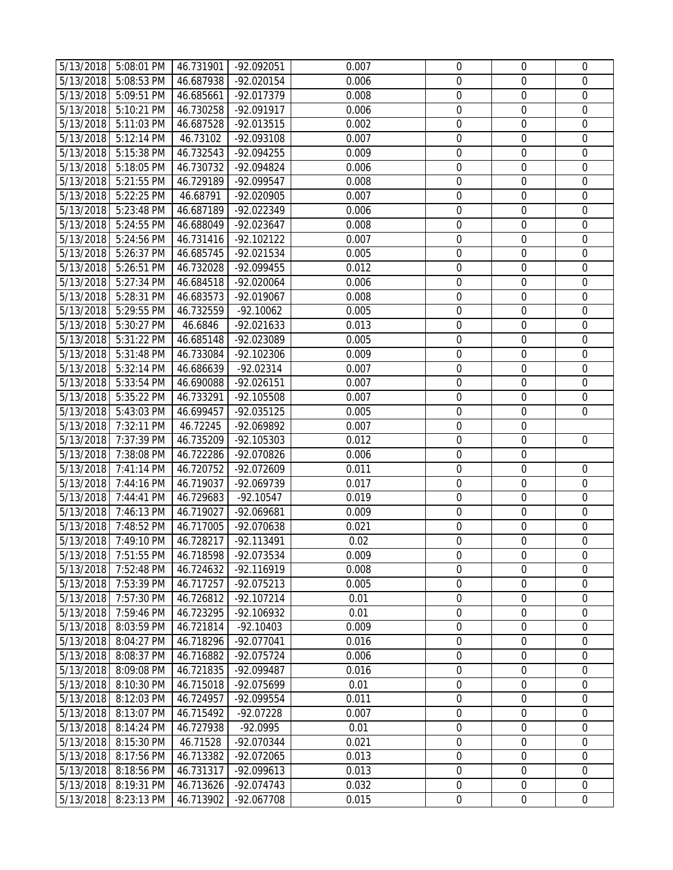|                        | 5/13/2018 5:08:01 PM     | 46.731901              | -92.092051               | 0.007          | $\boldsymbol{0}$                | 0                | 0                |
|------------------------|--------------------------|------------------------|--------------------------|----------------|---------------------------------|------------------|------------------|
| 5/13/2018              | 5:08:53 PM               | 46.687938              | -92.020154               | 0.006          | $\boldsymbol{0}$                | 0                | $\mathbf 0$      |
| 5/13/2018              | 5:09:51 PM               | 46.685661              | -92.017379               | 0.008          | $\boldsymbol{0}$                | $\mathbf 0$      | $\mathbf 0$      |
| 5/13/2018              | 5:10:21 PM               | 46.730258              | -92.091917               | 0.006          | $\boldsymbol{0}$                | $\mathbf 0$      | $\mathbf 0$      |
| 5/13/2018              | 5:11:03 PM               | 46.687528              | -92.013515               | 0.002          | $\boldsymbol{0}$                | $\mathbf 0$      | $\mathbf 0$      |
| 5/13/2018              | 5:12:14 PM               | 46.73102               | -92.093108               | 0.007          | $\boldsymbol{0}$                | $\boldsymbol{0}$ | $\boldsymbol{0}$ |
| 5/13/2018              | 5:15:38 PM               | 46.732543              | -92.094255               | 0.009          | $\boldsymbol{0}$                | $\boldsymbol{0}$ | $\mathbf 0$      |
| 5/13/2018              | 5:18:05 PM               | 46.730732              | -92.094824               | 0.006          | $\boldsymbol{0}$                | $\mathbf 0$      | $\mathbf 0$      |
| 5/13/2018              | 5:21:55 PM               | 46.729189              | -92.099547               | 0.008          | $\boldsymbol{0}$                | $\mathbf 0$      | $\mathbf 0$      |
| 5/13/2018              | 5:22:25 PM               | 46.68791               | -92.020905               | 0.007          | $\boldsymbol{0}$                | $\mathbf 0$      | $\mathbf 0$      |
| 5/13/2018              | 5:23:48 PM               | 46.687189              | -92.022349               | 0.006          | $\boldsymbol{0}$                | $\boldsymbol{0}$ | $\boldsymbol{0}$ |
| 5/13/2018              | 5:24:55 PM               | 46.688049              | -92.023647               | 0.008          | $\boldsymbol{0}$                | 0                | $\mathbf 0$      |
| 5/13/2018              | 5:24:56 PM               | 46.731416              | $-92.102122$             | 0.007          | $\boldsymbol{0}$                | $\boldsymbol{0}$ | $\mathbf 0$      |
| 5/13/2018              | 5:26:37 PM               | 46.685745              | -92.021534               | 0.005          | $\boldsymbol{0}$                | $\mathbf 0$      | $\mathbf 0$      |
| 5/13/2018              | 5:26:51 PM               | 46.732028              | -92.099455               | 0.012          | $\boldsymbol{0}$                | $\mathbf 0$      | $\mathbf 0$      |
| 5/13/2018              | 5:27:34 PM               | 46.684518              | -92.020064               | 0.006          | $\boldsymbol{0}$                | $\mathbf 0$      | $\boldsymbol{0}$ |
| 5/13/2018              | 5:28:31 PM               | 46.683573              | -92.019067               | 0.008          | $\boldsymbol{0}$                | $\boldsymbol{0}$ | $\boldsymbol{0}$ |
| 5/13/2018              | 5:29:55 PM               | 46.732559              | $-92.10062$              | 0.005          | $\boldsymbol{0}$                | $\boldsymbol{0}$ | $\mathbf 0$      |
| 5/13/2018              | 5:30:27 PM               | 46.6846                | $-92.021633$             | 0.013          | $\boldsymbol{0}$                | $\mathbf 0$      | $\mathbf 0$      |
| 5/13/2018              | 5:31:22 PM               | 46.685148              | -92.023089               | 0.005          | $\boldsymbol{0}$                | $\mathbf 0$      | $\mathbf 0$      |
| 5/13/2018              | 5:31:48 PM               | 46.733084              | -92.102306               | 0.009          | $\boldsymbol{0}$                | $\boldsymbol{0}$ | $\mathbf 0$      |
| 5/13/2018              | 5:32:14 PM               | 46.686639              | $-92.02314$              | 0.007          | $\boldsymbol{0}$                | $\mathbf 0$      | $\boldsymbol{0}$ |
| 5/13/2018              | 5:33:54 PM               | 46.690088              | -92.026151               | 0.007          | $\boldsymbol{0}$                | $\mathbf 0$      | $\mathbf 0$      |
| 5/13/2018              | 5:35:22 PM               | 46.733291              | -92.105508               | 0.007          | $\boldsymbol{0}$                | $\boldsymbol{0}$ | $\mathbf 0$      |
| 5/13/2018              | 5:43:03 PM               | 46.699457              | -92.035125               | 0.005          | $\boldsymbol{0}$                | $\mathbf 0$      | $\overline{0}$   |
| 5/13/2018              | 7:32:11 PM               | 46.72245               | -92.069892               | 0.007          | $\boldsymbol{0}$                | $\mathbf 0$      |                  |
| 5/13/2018              | 7:37:39 PM               | 46.735209              | -92.105303               | 0.012          | $\boldsymbol{0}$                | $\boldsymbol{0}$ | $\boldsymbol{0}$ |
| 5/13/2018              | 7:38:08 PM               | 46.722286              | -92.070826               | 0.006          | $\boldsymbol{0}$                | $\boldsymbol{0}$ |                  |
| 5/13/2018              | 7:41:14 PM               | 46.720752              | -92.072609               | 0.011          | $\boldsymbol{0}$                | $\boldsymbol{0}$ | 0                |
| 5/13/2018              | 7:44:16 PM               | 46.719037              | -92.069739               | 0.017          | $\boldsymbol{0}$                | $\mathbf 0$      | $\mathbf 0$      |
| 5/13/2018              | 7:44:41 PM               | 46.729683              | $-92.10547$              | 0.019          | $\boldsymbol{0}$                | $\mathbf 0$      | 0                |
| 5/13/2018              | 7:46:13 PM               | 46.719027              | -92.069681               | 0.009          | $\boldsymbol{0}$                | $\mathbf 0$      | $\mathbf 0$      |
| 5/13/2018              | 7:48:52 PM               | 46.717005              | -92.070638               | 0.021          | $\boldsymbol{0}$                | $\boldsymbol{0}$ | $\boldsymbol{0}$ |
| 5/13/2018              | 7:49:10 PM               | 46.728217              | -92.113491               | 0.02           | $\boldsymbol{0}$                | $\mathbf 0$      | $\mathbf 0$      |
| 5/13/2018              | 7:51:55 PM               | 46.718598              | -92.073534               | 0.009          | 0                               | 0                | 0                |
| 5/13/2018              | 7:52:48 PM               | 46.724632              | -92.116919               | 0.008          | 0                               | $\Omega$         | 0                |
| 5/13/2018              | 7:53:39 PM               | 46.717257              | -92.075213               | 0.005          | $\mathbf 0$                     | $\mathbf 0$      | 0                |
| 5/13/2018              | 7:57:30 PM               |                        |                          | 0.01           |                                 |                  | $\mathbf 0$      |
|                        |                          | 46.726812              | -92.107214               |                | $\boldsymbol{0}$                | $\boldsymbol{0}$ |                  |
| 5/13/2018              | 7:59:46 PM               | 46.723295              | -92.106932               | 0.01           | $\boldsymbol{0}$                | $\mathbf 0$      | 0                |
| 5/13/2018              | 8:03:59 PM               | 46.721814              | $-92.10403$              | 0.009          | $\boldsymbol{0}$                | 0                | 0                |
| 5/13/2018              | 8:04:27 PM               | 46.718296              | -92.077041               | 0.016          | $\mathbf 0$                     | $\mathbf 0$      | $\mathbf 0$      |
| 5/13/2018              | 8:08:37 PM               | 46.716882              | -92.075724               | 0.006          | $\boldsymbol{0}$                | 0                | 0                |
| 5/13/2018              | 8:09:08 PM               | 46.721835              | -92.099487               | 0.016          | $\boldsymbol{0}$                | 0                | $\mathbf 0$      |
| 5/13/2018              | 8:10:30 PM               | 46.715018              | -92.075699               | 0.01           | $\boldsymbol{0}$                | $\mathbf 0$      | $\mathbf 0$      |
| 5/13/2018              | 8:12:03 PM               | 46.724957              | -92.099554               | 0.011          | $\boldsymbol{0}$                | $\boldsymbol{0}$ | $\boldsymbol{0}$ |
| 5/13/2018              | 8:13:07 PM               | 46.715492              | $-92.07228$              | 0.007          | $\boldsymbol{0}$                | $\mathbf 0$      | $\mathbf 0$      |
| 5/13/2018              | 8:14:24 PM               | 46.727938              | $-92.0995$               | 0.01           | $\boldsymbol{0}$                | $\mathbf 0$      | 0                |
| 5/13/2018              | 8:15:30 PM               | 46.71528               | -92.070344               | 0.021          | $\boldsymbol{0}$                | $\mathbf 0$      | 0                |
| 5/13/2018              | 8:17:56 PM               | 46.713382              | -92.072065               | 0.013          | $\boldsymbol{0}$                | $\mathbf 0$      | $\mathbf 0$      |
| 5/13/2018              | 8:18:56 PM               | 46.731317              | -92.099613               | 0.013          | $\boldsymbol{0}$                | 0                | 0                |
| 5/13/2018<br>5/13/2018 | 8:19:31 PM<br>8:23:13 PM | 46.713626<br>46.713902 | -92.074743<br>-92.067708 | 0.032<br>0.015 | $\boldsymbol{0}$<br>$\mathbf 0$ | 0<br>$\mathbf 0$ | 0<br>$\mathbf 0$ |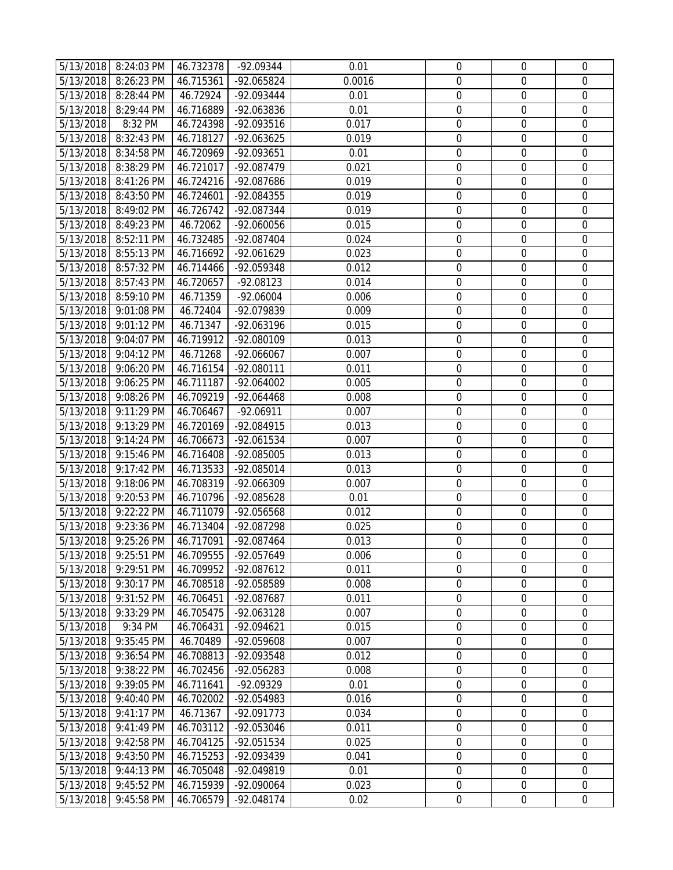|                        | 5/13/2018 8:24:03 PM     | 46.732378              | -92.09344                | 0.01           | $\boldsymbol{0}$                     | 0                | 0                |
|------------------------|--------------------------|------------------------|--------------------------|----------------|--------------------------------------|------------------|------------------|
| 5/13/2018              | 8:26:23 PM               | 46.715361              | -92.065824               | 0.0016         | $\boldsymbol{0}$                     | 0                | $\mathbf 0$      |
| 5/13/2018              | 8:28:44 PM               | 46.72924               | -92.093444               | 0.01           | $\boldsymbol{0}$                     | $\mathbf 0$      | $\mathbf 0$      |
| 5/13/2018              | 8:29:44 PM               | 46.716889              | -92.063836               | 0.01           | $\boldsymbol{0}$                     | $\mathbf 0$      | $\mathbf 0$      |
| 5/13/2018              | 8:32 PM                  | 46.724398              | -92.093516               | 0.017          | $\boldsymbol{0}$                     | $\mathbf 0$      | $\mathbf 0$      |
| 5/13/2018              | 8:32:43 PM               | 46.718127              | -92.063625               | 0.019          | $\boldsymbol{0}$                     | $\mathbf 0$      | $\boldsymbol{0}$ |
| 5/13/2018              | 8:34:58 PM               | 46.720969              | -92.093651               | 0.01           | $\boldsymbol{0}$                     | $\boldsymbol{0}$ | $\mathbf 0$      |
| 5/13/2018              | 8:38:29 PM               | 46.721017              | -92.087479               | 0.021          | $\boldsymbol{0}$                     | $\mathbf 0$      | $\mathbf 0$      |
| 5/13/2018              | 8:41:26 PM               | 46.724216              | -92.087686               | 0.019          | $\boldsymbol{0}$                     | $\mathbf 0$      | $\mathbf 0$      |
| 5/13/2018              | 8:43:50 PM               | 46.724601              | -92.084355               | 0.019          | $\boldsymbol{0}$                     | $\mathbf 0$      | $\mathbf 0$      |
| 5/13/2018              | 8:49:02 PM               | 46.726742              | -92.087344               | 0.019          | $\boldsymbol{0}$                     | $\boldsymbol{0}$ | $\boldsymbol{0}$ |
| 5/13/2018              | 8:49:23 PM               | 46.72062               | -92.060056               | 0.015          | $\boldsymbol{0}$                     | 0                | $\mathbf 0$      |
| 5/13/2018              | 8:52:11 PM               | 46.732485              | $-92.087404$             | 0.024          | $\boldsymbol{0}$                     | $\boldsymbol{0}$ | $\mathbf 0$      |
| 5/13/2018              | 8:55:13 PM               | 46.716692              | -92.061629               | 0.023          | $\boldsymbol{0}$                     | $\mathbf 0$      | $\mathbf 0$      |
| 5/13/2018              | 8:57:32 PM               | 46.714466              | -92.059348               | 0.012          | $\boldsymbol{0}$                     | $\mathbf 0$      | $\overline{0}$   |
| 5/13/2018              | 8:57:43 PM               | 46.720657              | $-92.08123$              | 0.014          | $\boldsymbol{0}$                     | $\mathbf 0$      | $\mathbf 0$      |
| 5/13/2018              | 8:59:10 PM               | 46.71359               | $-92.06004$              | 0.006          | $\boldsymbol{0}$                     | $\mathbf 0$      | $\boldsymbol{0}$ |
| 5/13/2018              | 9:01:08 PM               | 46.72404               | -92.079839               | 0.009          | $\boldsymbol{0}$                     | $\boldsymbol{0}$ | $\mathbf 0$      |
| 5/13/2018              | 9:01:12 PM               | 46.71347               | -92.063196               | 0.015          | $\boldsymbol{0}$                     | $\mathbf 0$      | $\mathbf 0$      |
| 5/13/2018              | 9:04:07 PM               | 46.719912              | -92.080109               | 0.013          | $\boldsymbol{0}$                     | $\mathbf 0$      | $\mathbf 0$      |
| 5/13/2018              | 9:04:12 PM               | 46.71268               | -92.066067               | 0.007          | $\boldsymbol{0}$                     | $\mathbf 0$      | $\mathbf 0$      |
| 5/13/2018              | 9:06:20 PM               | 46.716154              | -92.080111               | 0.011          | $\boldsymbol{0}$                     | $\mathbf 0$      | $\mathbf 0$      |
| 5/13/2018              | 9:06:25 PM               | 46.711187              | -92.064002               | 0.005          | $\boldsymbol{0}$                     | $\mathbf 0$      | $\mathbf 0$      |
| 5/13/2018              | $9:08:26$ PM             | 46.709219              | -92.064468               | 0.008          | $\boldsymbol{0}$                     | 0                | $\mathbf 0$      |
| 5/13/2018              | 9:11:29 PM               | 46.706467              | $-92.06911$              | 0.007          | $\boldsymbol{0}$                     | $\mathbf 0$      | $\mathbf 0$      |
| 5/13/2018              | 9:13:29 PM               | 46.720169              | -92.084915               | 0.013          | $\boldsymbol{0}$                     | $\mathbf 0$      | $\mathbf 0$      |
| 5/13/2018              | 9:14:24 PM               | 46.706673              | -92.061534               | 0.007          | $\boldsymbol{0}$                     | $\boldsymbol{0}$ | $\boldsymbol{0}$ |
| 5/13/2018              | 9:15:46 PM               | 46.716408              | -92.085005               | 0.013          | $\boldsymbol{0}$                     | $\mathbf 0$      | $\boldsymbol{0}$ |
| 5/13/2018              | 9:17:42 PM               | 46.713533              | -92.085014               | 0.013          | $\boldsymbol{0}$                     | $\boldsymbol{0}$ | $\mathbf 0$      |
| 5/13/2018              | 9:18:06 PM               | 46.708319              | -92.066309               | 0.007          | $\boldsymbol{0}$                     | $\mathbf 0$      | $\mathbf 0$      |
| 5/13/2018              | 9:20:53 PM               | 46.710796              | -92.085628               | 0.01           | $\boldsymbol{0}$                     | $\mathbf 0$      | 0                |
| 5/13/2018              | 9:22:22 PM               | 46.711079              | -92.056568               | 0.012          | $\boldsymbol{0}$                     | $\mathbf 0$      | $\mathbf 0$      |
| 5/13/2018              | 9:23:36 PM               | 46.713404              | -92.087298               | 0.025          | $\boldsymbol{0}$                     | $\mathbf 0$      | $\boldsymbol{0}$ |
| 5/13/2018              | 9:25:26 PM               | 46.717091              | -92.087464               | 0.013          | $\boldsymbol{0}$                     | $\mathbf 0$      | $\mathbf 0$      |
|                        | 5/13/2018 9:25:51 PM     | 46.709555              | -92.057649               | 0.006          | 0                                    | 0                | 0                |
| 5/13/2018              | 9:29:51 PM               | 46.709952              | -92.087612               | 0.011          | 0                                    | $\Omega$         | 0                |
| 5/13/2018              | 9:30:17 PM               | 46.708518              | -92.058589               | 0.008          | $\mathbf 0$                          | $\mathbf 0$      | 0                |
| 5/13/2018              | 9:31:52 PM               | 46.706451              | -92.087687               | 0.011          | $\boldsymbol{0}$                     | $\mathbf 0$      | $\mathbf 0$      |
| 5/13/2018              | 9:33:29 PM               | 46.705475              | -92.063128               | 0.007          | $\boldsymbol{0}$                     | $\mathbf 0$      | 0                |
| 5/13/2018              | 9:34 PM                  | 46.706431              | -92.094621               | 0.015          | $\boldsymbol{0}$                     | $\boldsymbol{0}$ | 0                |
| 5/13/2018              | 9:35:45 PM               | 46.70489               | -92.059608               | 0.007          | $\mathbf 0$                          | $\mathbf 0$      | $\mathbf 0$      |
| 5/13/2018              | 9:36:54 PM               | 46.708813              | -92.093548               | 0.012          | $\boldsymbol{0}$                     | 0                | 0                |
| 5/13/2018              | 9:38:22 PM               | 46.702456              | -92.056283               | 0.008          | $\boldsymbol{0}$                     | 0                | $\mathbf 0$      |
| 5/13/2018              | 9:39:05 PM               | 46.711641              | $-92.09329$              | 0.01           | $\boldsymbol{0}$                     | $\mathbf 0$      | $\mathbf 0$      |
| 5/13/2018              | 9:40:40 PM               | 46.702002              | -92.054983               | 0.016          | $\boldsymbol{0}$                     | $\boldsymbol{0}$ | $\boldsymbol{0}$ |
| 5/13/2018              | 9:41:17 PM               | 46.71367               | -92.091773               | 0.034          | $\boldsymbol{0}$                     | 0<br>$\mathbf 0$ | $\mathbf 0$      |
| 5/13/2018              | 9:41:49 PM               | 46.703112              | -92.053046               | 0.011<br>0.025 | $\boldsymbol{0}$<br>$\boldsymbol{0}$ | $\mathbf 0$      | 0<br>0           |
| 5/13/2018              | 9:42:58 PM               | 46.704125              | -92.051534<br>-92.093439 | 0.041          | $\boldsymbol{0}$                     | $\mathbf 0$      | $\mathbf 0$      |
| 5/13/2018<br>5/13/2018 | 9:43:50 PM<br>9:44:13 PM | 46.715253<br>46.705048 | -92.049819               | 0.01           | $\boldsymbol{0}$                     | $\mathbf 0$      | 0                |
| 5/13/2018              | 9:45:52 PM               | 46.715939              | -92.090064               | 0.023          | $\boldsymbol{0}$                     | 0                | 0                |
| 5/13/2018              | 9:45:58 PM               | 46.706579              | -92.048174               | 0.02           | $\boldsymbol{0}$                     | $\boldsymbol{0}$ | $\mathbf 0$      |
|                        |                          |                        |                          |                |                                      |                  |                  |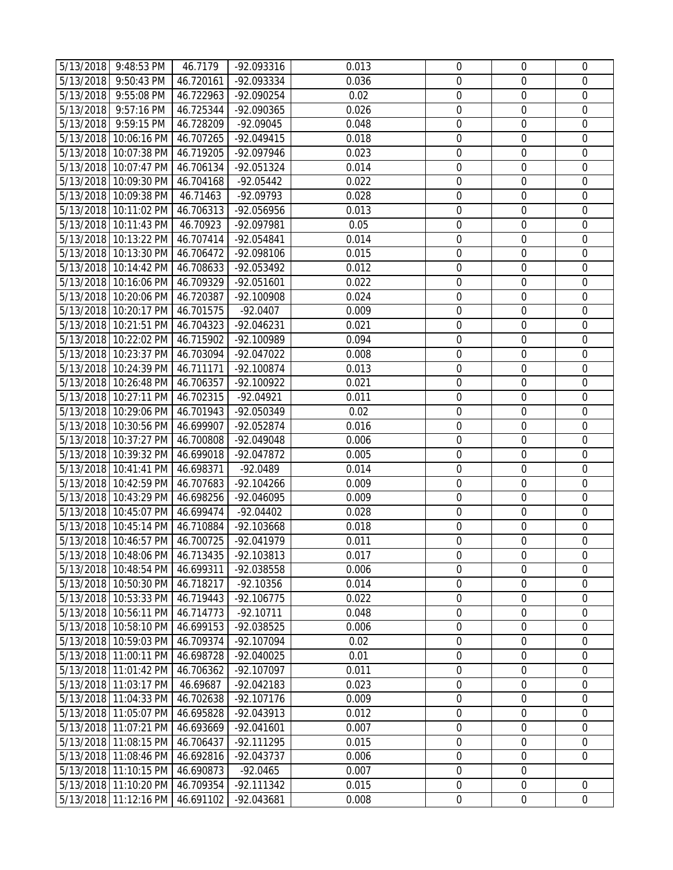|           | 5/13/2018 9:48:53 PM                           | 46.7179                | -92.093316                 | 0.013          | $\mathbf 0$                     | $\boldsymbol{0}$                | 0                          |
|-----------|------------------------------------------------|------------------------|----------------------------|----------------|---------------------------------|---------------------------------|----------------------------|
|           | 5/13/2018 9:50:43 PM                           | 46.720161              | $-92.093334$               | 0.036          | $\boldsymbol{0}$                | $\boldsymbol{0}$                | 0                          |
|           | 5/13/2018 9:55:08 PM                           | 46.722963              | -92.090254                 | 0.02           | $\boldsymbol{0}$                | $\mathbf 0$                     | $\mathbf 0$                |
| 5/13/2018 | 9:57:16 PM                                     | 46.725344              | -92.090365                 | 0.026          | $\mathbf 0$                     | $\mathbf 0$                     | $\mathbf 0$                |
| 5/13/2018 | 9:59:15 PM                                     | 46.728209              | $-92.09045$                | 0.048          | $\boldsymbol{0}$                | $\boldsymbol{0}$                | $\mathbf 0$                |
|           | 5/13/2018 10:06:16 PM                          | 46.707265              | -92.049415                 | 0.018          | $\boldsymbol{0}$                | $\boldsymbol{0}$                | $\mathbf 0$                |
|           |                                                | 46.719205              |                            |                | $\boldsymbol{0}$                | $\boldsymbol{0}$                | $\mathbf 0$                |
|           | 5/13/2018 10:07:38 PM<br>5/13/2018 10:07:47 PM | 46.706134              | -92.097946<br>-92.051324   | 0.023<br>0.014 | $\mathbf 0$                     | $\mathbf 0$                     | $\mathbf 0$                |
|           | 5/13/2018 10:09:30 PM 46.704168                |                        |                            | 0.022          | $\mathbf 0$                     | $\mathbf 0$                     | $\mathbf 0$                |
|           | 5/13/2018 10:09:38 PM                          |                        | $-92.05442$<br>-92.09793   | 0.028          | 0                               | $\boldsymbol{0}$                | $\mathbf 0$                |
|           |                                                | 46.71463<br>46.706313  | -92.056956                 | 0.013          | $\boldsymbol{0}$                | $\boldsymbol{0}$                | $\boldsymbol{0}$           |
|           | 5/13/2018 10:11:02 PM<br>5/13/2018 10:11:43 PM | 46.70923               | -92.097981                 | 0.05           | $\boldsymbol{0}$                | $\boldsymbol{0}$                | $\mathbf 0$                |
|           | 5/13/2018 10:13:22 PM                          | 46.707414              | -92.054841                 | 0.014          | $\boldsymbol{0}$                | $\boldsymbol{0}$                | 0                          |
|           | 5/13/2018 10:13:30 PM                          | 46.706472              | -92.098106                 | 0.015          | $\boldsymbol{0}$                | $\boldsymbol{0}$                | $\overline{0}$             |
|           | 5/13/2018 10:14:42 PM 46.708633                |                        | -92.053492                 | 0.012          | $\boldsymbol{0}$                | $\mathbf 0$                     | $\mathbf 0$                |
|           |                                                |                        |                            | 0.022          | $\boldsymbol{0}$                | $\boldsymbol{0}$                | $\overline{0}$             |
|           | 5/13/2018 10:16:06 PM<br>5/13/2018 10:20:06 PM | 46.709329<br>46.720387 | -92.051601                 | 0.024          | $\boldsymbol{0}$                | $\boldsymbol{0}$                | $\mathbf 0$                |
|           |                                                | 46.701575              | -92.100908                 |                |                                 |                                 |                            |
|           | 5/13/2018 10:20:17 PM<br>5/13/2018 10:21:51 PM | 46.704323              | $-92.0407$<br>-92.046231   | 0.009<br>0.021 | $\mathbf 0$<br>$\mathbf 0$      | $\boldsymbol{0}$<br>$\mathbf 0$ | 0<br>$\mathbf 0$           |
|           | 5/13/2018 10:22:02 PM 46.715902                |                        | -92.100989                 | 0.094          | $\boldsymbol{0}$                | $\mathbf 0$                     | $\mathbf 0$                |
|           | 5/13/2018 10:23:37 PM                          |                        |                            |                | $\boldsymbol{0}$                | $\boldsymbol{0}$                | $\mathbf 0$                |
|           | 5/13/2018 10:24:39 PM                          | 46.703094<br>46.711171 | -92.047022                 | 0.008<br>0.013 | $\boldsymbol{0}$                | $\boldsymbol{0}$                | $\mathbf 0$                |
|           | 5/13/2018 10:26:48 PM                          | 46.706357              | -92.100874<br>-92.100922   | 0.021          | $\boldsymbol{0}$                | $\boldsymbol{0}$                | $\mathbf 0$                |
|           | 5/13/2018 10:27:11 PM                          | 46.702315              | $-92.04921$                | 0.011          | $\boldsymbol{0}$                | $\boldsymbol{0}$                | 0                          |
|           | 5/13/2018 10:29:06 PM                          | 46.701943              | -92.050349                 | 0.02           | $\boldsymbol{0}$                | $\boldsymbol{0}$                | $\mathbf 0$                |
|           | 5/13/2018 10:30:56 PM                          | 46.699907              |                            | 0.016          |                                 | $\mathbf 0$                     | $\mathbf 0$                |
|           |                                                |                        | -92.052874                 |                | $\boldsymbol{0}$                |                                 | $\overline{0}$             |
|           | 5/13/2018 10:37:27 PM                          | 46.700808              | -92.049048                 | 0.006          | $\boldsymbol{0}$                | $\boldsymbol{0}$                | $\mathbf 0$                |
|           | 5/13/2018 10:39:32 PM                          | 46.699018              | -92.047872                 | 0.005          | $\boldsymbol{0}$                | $\boldsymbol{0}$                |                            |
|           | 5/13/2018 10:41:41 PM                          | 46.698371              | $-92.0489$                 | 0.014          | $\boldsymbol{0}$                | $\boldsymbol{0}$                | $\mathbf 0$<br>$\mathbf 0$ |
|           | 5/13/2018 10:42:59 PM                          | 46.707683              | $-92.104266$<br>-92.046095 | 0.009<br>0.009 | $\boldsymbol{0}$<br>$\mathbf 0$ | $\boldsymbol{0}$<br>$\mathbf 0$ | $\mathbf 0$                |
|           | 5/13/2018 10:43:29 PM 46.698256                | 46.699474              | $-92.04402$                | 0.028          | $\boldsymbol{0}$                | $\boldsymbol{0}$                | $\mathbf 0$                |
|           | 5/13/2018 10:45:07 PM<br>5/13/2018 10:45:14 PM | 46.710884              | -92.103668                 | 0.018          | $\boldsymbol{0}$                | $\boldsymbol{0}$                | $\mathbf 0$                |
|           | 5/13/2018 10:46:57 PM                          | 46.700725              | -92.041979                 | 0.011          | $\mathbf 0$                     | $\mathbf 0$                     | $\overline{0}$             |
|           | 5/13/2018 10:48:06 PM 46.713435                |                        | -92.103813                 | 0.017          | 0                               | 0                               | 0                          |
|           | 5/13/2018 10:48:54 PM                          | 46.699311              | -92.038558                 | 0.006          | $\overline{0}$                  | $\overline{0}$                  | $\mathbf 0$                |
|           | 5/13/2018 10:50:30 PM 46.718217                |                        | $-92.10356$                | 0.014          | $\mathbf 0$                     | $\mathbf 0$                     | 0                          |
|           | 5/13/2018 10:53:33 PM                          | 46.719443              | $-92.106775$               | 0.022          | $\boldsymbol{0}$                | $\boldsymbol{0}$                | $\mathbf 0$                |
|           | 5/13/2018 10:56:11 PM                          | 46.714773              | $-92.10711$                | 0.048          | $\boldsymbol{0}$                | $\boldsymbol{0}$                | $\mathbf 0$                |
|           | 5/13/2018 10:58:10 PM                          | 46.699153              | -92.038525                 | 0.006          | 0                               | $\boldsymbol{0}$                | 0                          |
|           | 5/13/2018 10:59:03 PM                          | 46.709374              | -92.107094                 | 0.02           | $\mathbf 0$                     | $\mathbf 0$                     | $\mathbf 0$                |
|           | 5/13/2018 11:00:11 PM                          | 46.698728              | -92.040025                 | 0.01           | $\mathbf 0$                     | $\mathbf 0$                     | $\mathbf 0$                |
|           | 5/13/2018 11:01:42 PM                          | 46.706362              | -92.107097                 | 0.011          | $\boldsymbol{0}$                | $\mathbf 0$                     | $\mathbf 0$                |
|           | 5/13/2018 11:03:17 PM                          | 46.69687               | -92.042183                 | 0.023          | $\boldsymbol{0}$                | $\mathbf 0$                     | $\mathbf 0$                |
|           | 5/13/2018 11:04:33 PM                          | 46.702638              | -92.107176                 | 0.009          | $\boldsymbol{0}$                | $\boldsymbol{0}$                | $\boldsymbol{0}$           |
|           | 5/13/2018 11:05:07 PM                          | 46.695828              | -92.043913                 | 0.012          | $\boldsymbol{0}$                | $\boldsymbol{0}$                | $\mathbf 0$                |
|           | 5/13/2018 11:07:21 PM                          | 46.693669              | $-92.041601$               | 0.007          | $\boldsymbol{0}$                | $\mathbf 0$                     | $\mathbf 0$                |
|           | 5/13/2018 11:08:15 PM                          | 46.706437              | -92.111295                 | 0.015          | $\mathbf 0$                     | $\mathbf 0$                     | 0                          |
|           | 5/13/2018 11:08:46 PM                          | 46.692816              | -92.043737                 | 0.006          | $\boldsymbol{0}$                | $\mathbf 0$                     | $\overline{0}$             |
|           | 5/13/2018 11:10:15 PM                          | 46.690873              | $-92.0465$                 | 0.007          | $\boldsymbol{0}$                | $\mathbf 0$                     |                            |
|           | 5/13/2018 11:10:20 PM                          | 46.709354              | $-92.111342$               | 0.015          | $\boldsymbol{0}$                | $\boldsymbol{0}$                | 0                          |
|           | 5/13/2018 11:12:16 PM                          | 46.691102              | -92.043681                 | 0.008          | $\boldsymbol{0}$                | $\mathbf 0$                     | $\mathbf 0$                |
|           |                                                |                        |                            |                |                                 |                                 |                            |